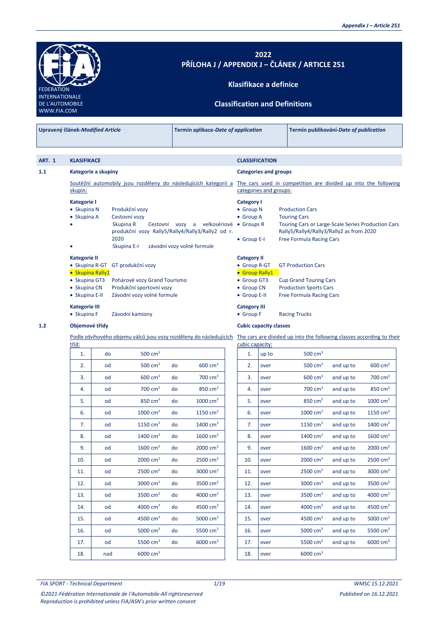**FEDERATION** INTERNATIONALE DE L'AUTOMOBILE WWW.FIA.COM

# **2022 PŘÍLOHA J / APPENDIX J – ČLÁNEK / ARTICLE 251**

# **Klasifikace a definice**

# **Classification and Definitions**

| Upravený článek-Modified Article | Termín aplikace-Date of application | Termín publikování-Date of publication |  |
|----------------------------------|-------------------------------------|----------------------------------------|--|
|                                  |                                     |                                        |  |

| <b>ART. 1</b> | <b>KLASIFIKACE</b>                                                                                           |    |                                                                                                                         |    |                                                                                          | <b>CLASSIFICATION</b>                                                                             |       |                                                                                                                                                                                    |           |                     |
|---------------|--------------------------------------------------------------------------------------------------------------|----|-------------------------------------------------------------------------------------------------------------------------|----|------------------------------------------------------------------------------------------|---------------------------------------------------------------------------------------------------|-------|------------------------------------------------------------------------------------------------------------------------------------------------------------------------------------|-----------|---------------------|
| 1.1           | Kategorie a skupiny                                                                                          |    |                                                                                                                         |    | <b>Categories and groups</b>                                                             |                                                                                                   |       |                                                                                                                                                                                    |           |                     |
|               | Soutěžní automobily jsou rozděleny do následujících kategorií a<br>skupin:                                   |    |                                                                                                                         |    | The cars used in competition are divided up into the following<br>categories and groups: |                                                                                                   |       |                                                                                                                                                                                    |           |                     |
|               | <b>Kategorie I</b><br>• Skupina N<br>• Skupina A                                                             |    | Produkční vozy<br>Cestovní vozy<br>Skupina R<br>produkční vozy Rally5/Rally4/Rally3/Rally2 od r.<br>2020<br>Skupina E-I |    | Cestovní vozy a velkosériové · Groups R<br>závodní vozy volné formule                    | <b>Category I</b><br>• Group N<br>• Group A<br>• Group E-I                                        |       | <b>Production Cars</b><br><b>Touring Cars</b><br>Touring Cars or Large-Scale Series Production Cars<br>Rally5/Rally4/Rally3/Rally2 as from 2020<br><b>Free Formula Racing Cars</b> |           |                     |
|               | <b>Kategorie II</b><br>• Skupina R-GT<br>· Skupina Rally1<br>• Skupina GT3<br>• Skupina CN<br>• Skupina E-II |    | GT produkční vozy<br>Pohárové vozy Grand Tourismo<br>Produkční sportovní vozy<br>Závodní vozy volné formule             |    |                                                                                          | <b>Category II</b><br>• Group R-GT<br>• Group Rally1<br>• Group GT3<br>• Group CN<br>• Group E-II |       | <b>GT Production Cars</b><br><b>Cup Grand Touring Cars</b><br><b>Production Sports Cars</b><br><b>Free Formula Racing Cars</b>                                                     |           |                     |
|               | <b>Kategorie III</b><br>• Skupina F                                                                          |    | Závodní kamiony                                                                                                         |    |                                                                                          | <b>Category III</b><br>• Group F                                                                  |       | <b>Racing Trucks</b>                                                                                                                                                               |           |                     |
| 1.2           | Objemové třídy<br>tříd:<br>1.                                                                                | do | Podle zdvihového objemu válců jsou vozy rozděleny do následujících<br>500 $cm3$                                         |    |                                                                                          | <b>Cubic capacity classes</b><br>cubic capacity:<br>1.                                            | up to | The cars are divided up into the following classes according to their<br>500 $cm3$                                                                                                 |           |                     |
|               | 2.                                                                                                           | od | 500 $cm3$                                                                                                               | do | $600 \text{ cm}^3$                                                                       | 2.                                                                                                | over  | 500 $cm3$                                                                                                                                                                          | and up to | $600 \text{ cm}^3$  |
|               | 3.                                                                                                           | od | $600 \text{ cm}^3$                                                                                                      | do | $700 \text{ cm}^3$                                                                       | 3.                                                                                                | over  | $600 \text{ cm}^3$                                                                                                                                                                 | and up to | $700 \text{ cm}^3$  |
|               | 4.                                                                                                           | od | $700 \text{ cm}^3$                                                                                                      | do | 850 cm <sup>3</sup>                                                                      | 4.                                                                                                | over  | $700 \text{ cm}^3$                                                                                                                                                                 | and up to | 850 $cm3$           |
|               | 5.                                                                                                           | od | $850 \text{ cm}^3$                                                                                                      | do | $1000 \text{ cm}^3$                                                                      | 5.                                                                                                | over  | $850 \text{ cm}^3$                                                                                                                                                                 | and up to | $1000 \text{ cm}^3$ |
|               | 6.                                                                                                           | od | $1000 \text{ cm}^3$                                                                                                     | do | 1150 $cm3$                                                                               | 6.                                                                                                | over  | 1000 $cm3$                                                                                                                                                                         | and up to | 1150 $cm3$          |
|               | 7.                                                                                                           | od | 1150 $cm3$                                                                                                              | do | 1400 $cm3$                                                                               | 7.                                                                                                | over  | 1150 $cm3$                                                                                                                                                                         | and up to | 1400 $cm3$          |
|               | 8.                                                                                                           | od | 1400 $cm3$                                                                                                              | do | 1600 $cm3$                                                                               | 8.                                                                                                | over  | 1400 $cm3$                                                                                                                                                                         | and up to | 1600 $cm3$          |
|               | 9.                                                                                                           | od | $1600 \text{ cm}^3$                                                                                                     | do | 2000 $cm3$                                                                               | 9.                                                                                                | over  | $1600 \text{ cm}^3$                                                                                                                                                                | and up to | 2000 $cm3$          |

10. over 2000 cm<sup>3</sup>

11. over 2500 cm<sup>3</sup>

12. over 3000 cm<sup>3</sup>

13. over 3500 cm<sup>3</sup>

14. over 4000 cm<sup>3</sup>

15. over 4500 cm<sup>3</sup>

16. over 5000 cm<sup>3</sup>

17. over 5500 cm<sup>3</sup>

18. over 6000 cm<sup>3</sup>

do 2500 cm3

do 3000 cm3

do 3500 cm3

do 4000 cm3

do 4500 cm<sup>3</sup>

do 5000 cm3

do 5500 cm3

do 6000 cm<sup>3</sup>

and up to  $2500 \text{ cm}^3$ 

and up to  $3000 \text{ cm}^3$ 

and up to  $3500 \text{ cm}^3$ 

and up to  $4000 \text{ cm}^3$ 

and up to  $4500 \text{ cm}^3$ 

and up to  $5000 \text{ cm}^3$ 

and up to  $5500 \text{ cm}^3$ 

and up to  $6000 \text{ cm}^3$ 

*©2021‐Fédération Internationale de l'Automobile‐All rightsreserved Reproduction is prohibited unless FIA/ASN's prior written consent* 

10. od 2000 cm<sup>3</sup>

11. od 2500 cm<sup>3</sup>

12. od 3000 cm<sup>3</sup>

13. od 3500 cm<sup>3</sup>

14. od 4000 cm<sup>3</sup>

15. od 4500 cm<sup>3</sup>

16.  $od$  5000 cm<sup>3</sup>

17. od 5500 cm<sup>3</sup>

18. nad 6000 cm<sup>3</sup>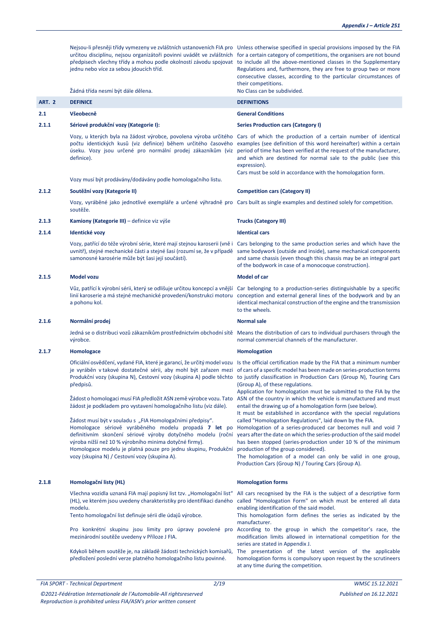Nejsou‐li přesněji třídy vymezeny ve zvláštních ustanoveních FIA pro Unless otherwise specified in special provisions imposed by the FIA předpisech všechny třídy a mohou podle okolností závodu spojovat jednu nebo více za sebou jdoucích tříd.

Žádná třída nesmí být dále dělena.

**ART. 2 DEFINICE DEFINITIONS** 

# **2.1.1 Sériové produkční vozy (Kategorie I): Series Production cars (Category I)**

definice).

Vozy musí být prodávány/dodávány podle homologačního listu.

# **2.1.2 Soutěžní vozy (Kategorie II) Competition cars (Category II)**

 Vozy, vyráběné jako jednotlivé exempláře a určené výhradně pro Cars built as single examples and destined solely for competition. soutěže.

**2.1.3 Kamiony (Kategorie III)** – definice viz výše **Trucks (Category III)** 

### **2.1.4 Identické vozy Identical cars**

samonosné karosérie může být šasi její součástí).

# **2.1.5** Model vozu **Model of car Model of car Model of car**

a pohonu kol.

# **2.1.6 Normální prodej Normal sale**

výrobce.

# **2.1.7 Homologace Homologation**

předpisů.

žádost je podkladem pro vystavení homologačního listu (viz dále).

Žádost musí být v souladu s "FIA Homologačními předpisy". Homologace sériově vyráběného modelu propadá **7 let** po definitivním skončení sériové výroby dotyčného modelu (roční výroba nižší než 10 % výrobního minima dotyčné firmy). Homologace modelu je platná pouze pro jednu skupinu, Produkční production of the group considered). vozy (skupina N) / Cestovní vozy (skupina A).

# **2.1.8 Homologační listy (HL) Homologation forms Homologation forms**

Všechna vozidla uznaná FIA mají popisný list tzv. "Homologační list" (HL), ve kterém jsou uvedeny charakteristiky pro identifikaci daného modelu.

Tento homologační list definuje sérii dle údajů výrobce.

Pro konkrétní skupinu jsou limity pro úpravy povolené pro mezinárodní soutěže uvedeny v Příloze J FIA.

Kdykoli během soutěže je, na základě žádosti technických komisařů, předložení poslední verze platného homologačního listu povinné.

určitou disciplínu, nejsou organizátoři povinni uvádět ve zvláštních for a certain category of competitions, the organisers are not bound to include all the above‐mentioned classes in the Supplementary Regulations and, furthermore, they are free to group two or more consecutive classes, according to the particular circumstances of their competitions. No Class can be subdivided.

# **2.1 Všeobecně General Conditions**

Vozy, u kterých byla na žádost výrobce, povolena výroba určitého Cars of which the production of a certain number of identical počtu identických kusů (viz definice) během určitého časového examples (see definition of this word hereinafter) within a certain úseku. Vozy jsou určené pro normální prodej zákazníkům (viz period of time has been verified at the request of the manufacturer, and which are destined for normal sale to the public (see this expression).

Cars must be sold in accordance with the homologation form.

Vozy, patřící do téže výrobní série, které mají stejnou karoserii (vně i Cars belonging to the same production series and which have the uvnitř), stejné mechanické části a stejné šasi (rozumí se, že v případě same bodywork (outside and inside), same mechanical components and same chassis (even though this chassis may be an integral part of the bodywork in case of a monocoque construction).

Vůz, patřící k výrobní sérii, který se odlišuje určitou koncepcí a vnější Car belonging to a production-series distinguishable by a specific linií karoserie a má stejné mechanické provedení/konstrukci motoru conception and external general lines of the bodywork and by an identical mechanical construction of the engine and the transmission to the wheels.

Jedná se o distribuci vozů zákazníkům prostřednictvím obchodní sítě Means the distribution of cars to individual purchasers through the normal commercial channels of the manufacturer.

 Oficiální osvědčení, vydané FIA, které je garancí, že určitý model vozu Is the official certification made by the FIA that a minimum number je vyráběn v takové dostatečné sérii, aby mohl být zařazen mezi ofcarsofaspecificmodelhasbeenmadeonseries-productionterms Produkční vozy (skupina N), Cestovní vozy (skupina A) podle těchto to justify classification in Production Cars (Group N), Touring Cars (Group A), of these regulations.

Žádost o homologaci musí FIA předložit ASN země výrobce vozu. Tato ASN of the country in which the vehicle is manufactured and must Application for homologation must be submitted to the FIA by the entail the drawing up of a homologation form (see below).

> It must be established in accordance with the special regulations called "Homologation Regulations", laid down by the FIA.

> Homologation of a series-produced car becomes null and void 7 years after the date on which the series‐production of the said model has been stopped (series-production under 10 % of the minimum

> The homologation of a model can only be valid in one group, Production Cars (Group N) / Touring Cars (Group A).

All cars recognised by the FIA is the subject of a descriptive form called "Homologation Form" on which must be entered all data enabling identification of the said model.

This homologation form defines the series as indicated by the manufacturer.

According to the group in which the competitor's race, the modification limits allowed in international competition for the series are stated in Appendix J.

The presentation of the latest version of the applicable homologation forms is compulsory upon request by the scrutineers at any time during the competition.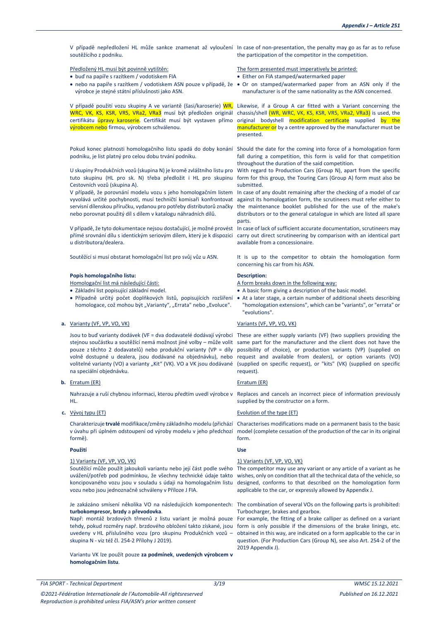V případě nepředložení HL může sankce znamenat až vyloučení In case of non‐presentation, the penalty may go as far as to refuse soutěžícího z podniku. the participation of the competitor in the competition.

Předložený HL musí být povinně vytištěn:

buď na papíře s razítkem / vodotiskem FIA

výrobce je stejné státní příslušnosti jako ASN.

V případě použití vozu skupiny A ve variantě (šasi/karoserie) WR, WRC, VK, KS, KSR, VR5, VRa2, VRa3 musí být předložen originál certifikátu úpravy karoserie. Certifikát musí být vystaven přímo výrobcem nebo firmou, výrobcem schválenou.

podniku, je list platný pro celou dobu trvání podniku.

U skupiny Produkčních vozů (skupina N) je kromě zvláštního listu pro tuto skupinu (HL pro sk. N) třeba předložit i HL pro skupinu Cestovních vozů (skupina A).

V případě, že porovnání modelu vozu s jeho homologačním listem vyvolává určité pochybnosti, musí techničtí komisaři konfrontovat against its homologation form, the scrutineers must refer either to servisní dílenskou příručku, vydanou pro potřeby distributorů značky nebo porovnat použitý díl s dílem v katalogu náhradních dílů.

V případě, že tyto dokumentace nejsou dostačující, je možné provést přímé srovnání dílu s identickým seriovým dílem, který je k dispozici carry out direct scrutineering by comparison with an identical part u distributora/dealera.

Soutěžící si musí obstarat homologační list pro svůj vůz u ASN.

### **Popis homologačního listu:**

Homologační list má následující části:

- Základní list popisující základní model.
- Případně určitý počet doplňkových listů, popisujících rozšíření homologace, což mohou být "Varianty", "Errata" nebo "Evoluce".

### **a. Varianty (VF, VP, VO, VK) Variants (VF, VP, VO, VK) Variants (VF, VP, VO, VK)**

 Jsou to buď varianty dodávek (VF = dva dodavatelé dodávají výrobci stejnou součástku a soutěžící nemá možnost jiné volby – může volit same part for the manufacturer and the client does not have the pouze z těchto 2 dodavatelů) nebo produkční varianty (VP = díly volně dostupné u dealera, jsou dodávané na objednávku), nebo volitelné varianty (VO) a varianty "Kit" (VK). VO a VK jsou dodávané na speciální objednávku.

**b. Erratum (ER) Erratum (ER) Example 2014** 

 Nahrazuje a ruší chybnou informaci, kterou předtím uvedl výrobce v HL.

v úvahu při úplném odstoupení od výroby modelu v jeho předchozí formě).

### **Použití Use**

### 1) Varianty (VF, VP, VO, VK)

Soutěžící může použít jakoukoli variantu nebo její část podle svého uvážení/potřeb pod podmínkou, že všechny technické údaje takto koncipovaného vozu jsou v souladu s údaji na homologačním listu vozu nebo jsou jednoznačně schváleny v Příloze J FIA.

**turbokompresor, brzdy** a **převodovka**.

Např: montáž brzdových třmenů z listu variant je možná pouze tehdy, pokud rozměry např. brzdového obložení takto získané, jsou uvedeny v HL příslušného vozu (pro skupinu Produkčních vozů – skupina N ‐ viz též čl. 254‐2 Přílohy J 2019).

Variantu VK lze použít pouze **za podmínek**, **uvedených výrobcem v homologačním listu**.

The form presented must imperatively be printed:

- Either on FIA stamped/watermarked paper
- nebo na papíře s razítkem / vodotiskem ASN pouze v případě, že Or on stamped/watermarked paper from an ASN only if the manufacturer is of the same nationality as the ASN concerned.

Likewise, if a Group A car fitted with a Variant concerning the chassis/shell (WR, WRC, VK, KS, KSR, VR5, VRa2, VRa3) is used, the original bodyshell **modification** certificate supplied by the manufacturer or by a centre approved by the manufacturer must be presented.

Pokud konec platnosti homologačního listu spadá do doby konání Should the date for the coming into force of a homologation form fall during a competition, this form is valid for that competition throughout the duration of the said competition.

> With regard to Production Cars (Group N), apart from the specific form for this group, the Touring Cars (Group A) form must also be submitted.

> In case of any doubt remaining after the checking of a model of car the maintenance booklet published for the use of the make's distributors or to the general catalogue in which are listed all spare parts.

> In case of lack of sufficient accurate documentation, scrutineers may available from a concessionaire.

> It is up to the competitor to obtain the homologation form concerning his car from his ASN.

### **Description:**

A form breaks down in the following way:

- A basic form giving a description of the basic model.
- At a later stage, a certain number of additional sheets describing "homologation extensions", which can be "variants", or "errata" or "evolutions".

These are either supply variants (VF) (two suppliers providing the possibility of choice), or production variants (VP) (supplied on request and available from dealers), or option variants (VO) (supplied on specific request), or "kits" (VK) (supplied on specific request).

Replaces and cancels an incorrect piece of information previously supplied by the constructor on a form.

### **c.**  Vývoj typu (ET) Evolution of the type (ET)

Charakterizuje **trvalé** modifikace/změny základního modelu (přichází Characterises modifications made on a permanent basis to the basic model (complete cessation of the production of the car in its original form.

# 1) Variants (VF, VP, VO, VK)

The competitor may use any variant or any article of a variant as he wishes, only on condition that all the technical data of the vehicle, so designed, conforms to that described on the homologation form applicable to the car, or expressly allowed by Appendix J.

Je zakázáno smísení několika VO na následujících komponentech: The combination of several VOs on the following parts is prohibited: Turbocharger, brakes and gearbox.

> For example, the fitting of a brake calliper as defined on a variant form is only possible if the dimensions of the brake linings, etc. obtained in this way, are indicated on a form applicable to the car in question. (For Production Cars (Group N), see also Art. 254‐2 of the 2019 Appendix J).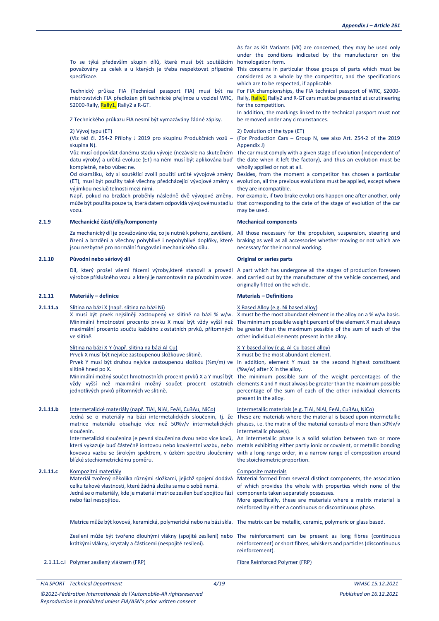To se týká především skupin dílů, které musí být soutěžícím považovány za celek a u kterých je třeba respektovat případné This concerns in particular those groups of parts which must be specifikace.

Technický průkaz FIA (Technical passport FIA) musí být na mistrovstvích FIA předložen při technické přejímce u vozidel WRC, Rally, Rally1, Rally2 and R-GT cars must be presented at scrutineering S2000-Rally, Rally1, Rally2 a R-GT.

Z Technického průkazu FIA nesmí být vymazávány žádné zápisy.

### 2) Vývoj typu (ET)

(Viz též čl. 254‐2 Přílohy J 2019 pro skupinu Produkčních vozů – skupina N).

Vůz musí odpovídat danému stadiu vývoje (nezávisle na skutečném datu výroby) a určitá evoluce (ET) na něm musí být aplikována buď kompletně, nebo vůbec ne.

Od okamžiku, kdy si soutěžící zvolil použití určité vývojové změny (ET), musí být použity také všechny předcházející vývojové změny s výjimkou neslučitelnosti mezi nimi.

Např. pokud na brzdách proběhly následně dvě vývojové změny, může být použita pouze ta, která datem odpovídá vývojovému stadiu vozu.

# **2.1.9 Mechanické části/díly/komponenty Mechanical components**

 Za mechanický díl je považováno vše, co je nutné k pohonu, zavěšení, řízení a brzdění a všechny pohyblivé i nepohyblivé doplňky, které jsou nezbytné pro normální fungování mechanického dílu.

# **2.1.10 Původní nebo sériový díl Original or series parts**

výrobce příslušného vozu a který je namontován na původním voze.

# **2.1.11 Materiály – definice Materials – Definitions**

### **2.1.11.a**  Slitina na bázi X (např. slitina na bázi Ni)

X musí být prvek nejsilněji zastoupený ve slitině na bázi % w/w. Minimální hmotnostní procento prvku X musí být vždy vyšší než maximální procento součtu každého z ostatních prvků, přítomných ve slitině.

### Slitina na bázi X‐Y (např. slitina na bázi Al‐Cu)

Prvek X musí být nejvíce zastoupenou složkouve slitině.

Prvek Y musí být druhou nejvíce zastoupenou složkou (%m/m) ve slitině hned po X.

Minimální možný součet hmotnostních procent prvků X a Y musí být vždy vyšší než maximální možný součet procent ostatních jednotlivých prvků přítomných ve slitině.

# **2.1.11.b**  Intermetalické materiály (např. TiAl, NiAl, FeAl, Cu3Au, NiCo)

matrice materiálu obsahuje více než 50%v/v intermetalických sloučenin.

Intermetalická sloučenina je pevná sloučenina dvou nebo více kovů, kovovou vazbu se širokým spektrem, v úzkém spektru sloučeniny blízké stechiometrickému poměru.

# **2.1.11.c**  Kompozitní materiály

Materiál tvořený několika různými složkami, jejichž spojení dodává celku takové vlastnosti, které žádná složka sama o sobě nemá. Jedná se o materiály, kde je materiál matrice zesílen buď spojitou fází components taken separately possesses. nebo fází nespojitou.

Matrice může být kovová, keramická, polymerická nebo na bázi skla. The matrix can be metallic, ceramic, polymeric or glass based.

krátkými vlákny, krystaly a částicemi (nespojité zesílení).

2.1.11.c.i Polymer zesílený vláknem (FRP) Fibre Reinforced Polymer (FRP)

As far as Kit Variants (VK) are concerned, they may be used only under the conditions indicated by the manufacturer on the homologation form.

considered as a whole by the competitor, and the specifications which are to be respected, if applicable.

For FIA championships, the FIA technical passport of WRC, S2000‐ for the competition.

In addition, the markings linked to the technical passport must not be removed under any circumstances.

### 2) Evolution of the type (ET)

(For Production Cars – Group N, see also Art. 254‐2 of the 2019 Appendix J)

The car must comply with a given stage of evolution (independent of the date when it left the factory), and thus an evolution must be wholly applied or not at all.

Besides, from the moment a competitor has chosen a particular evolution, all the previous evolutions must be applied, except where they are incompatible.

For example, if two brake evolutions happen one after another, only that corresponding to the date of the stage of evolution of the car may be used.

All those necessary for the propulsion, suspension, steering and braking as well as all accessories whether moving or not which are necessary for their normal working.

 Díl, který prošel všemi fázemi výroby,které stanovil a provedl A part which has undergone all the stages of production foreseen and carried out by the manufacturer of the vehicle concerned, and originally fitted on the vehicle.

### X Based Alloy (e.g. Ni based alloy)

X must be the most abundant element in the alloy on a % w/w basis. The minimum possible weight percent of the element X must always be greater than the maximum possible of the sum of each of the other individual elements present in the alloy.

# X‐Y‐based alloy (e.g. Al‐Cu‐based alloy)

X must be the most abundant element.

In addition, element Y must be the second highest constituent (%w/w) after X in the alloy.

The minimum possible sum of the weight percentages of the elements X and Y must always be greater than the maximum possible percentage of the sum of each of the other individual elements present in the alloy.

### Intermetallic materials (e.g. TiAl, NiAl, FeAl, Cu3Au, NiCo)

Jedná se o materiály na bázi intermetalických sloučenin, tj. že These are materials where the material is based upon intermetallic phases, i.e. the matrix of the material consists of more than 50%v/v intermetallic phase(s).

která vykazuje buď částečně iontovou nebo kovalentní vazbu, nebo metals exhibiting either partly ionic or covalent, or metallic bonding An intermetallic phase is a solid solution between two or more with a long-range order, in a narrow range of composition around the stoichiometric proportion.

### Composite materials

Material formed from several distinct components, the association of which provides the whole with properties which none of the

More specifically, these are materials where a matrix material is reinforced by either a continuous or discontinuous phase.

Zesílení může být tvořeno dlouhými vlákny (spojité zesílení) nebo The reinforcement can be present as long fibres (continuous reinforcement) or short fibres, whiskers and particles (discontinuous reinforcement).

*FIA SPORT ‐ Technical Department 4/19 WMSC 15.12.2021*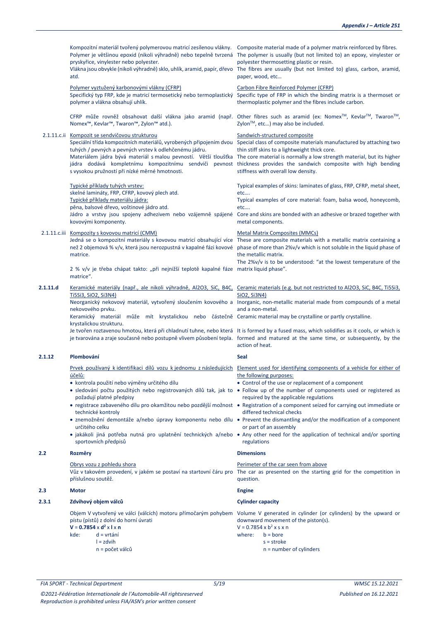|          | Kompozitní materiál tvořený polymerovou matricí zesílenou vlákny. Composite material made of a polymer matrix reinforced by fibres.<br>pryskyřice, vinylester nebo polyester.<br>Vlákna jsou obvykle (nikoli výhradně) sklo, uhlík, aramid, papír, dřevo The fibres are usually (but not limited to) glass, carbon, aramid,<br>atd. | Polymer je většinou epoxid (nikoli výhradně) nebo tepelně tvrzená The polymer is usually (but not limited to) an epoxy, vinylester or<br>polyester thermosetting plastic or resin.<br>paper, wood, etc                                                                                                                                                                                                                                                                                                                                                                                                 |
|----------|-------------------------------------------------------------------------------------------------------------------------------------------------------------------------------------------------------------------------------------------------------------------------------------------------------------------------------------|--------------------------------------------------------------------------------------------------------------------------------------------------------------------------------------------------------------------------------------------------------------------------------------------------------------------------------------------------------------------------------------------------------------------------------------------------------------------------------------------------------------------------------------------------------------------------------------------------------|
|          | Polymer vyztužený karbonovými vlákny (CFRP)<br>polymer a vlákna obsahují uhlík.                                                                                                                                                                                                                                                     | Carbon Fibre Reinforced Polymer (CFRP)<br>Specifický typ FRP, kde je matricí termosetický nebo termoplastický Specific type of FRP in which the binding matrix is a thermoset or<br>thermoplastic polymer and the fibres include carbon.                                                                                                                                                                                                                                                                                                                                                               |
|          | CFRP může rovněž obsahovat další vlákna jako aramid (např. Other fibres such as aramid (ex: Nomex™, Kevlar™, Twaron™,<br>Nomex <sup>™</sup> , Kevlar <sup>™</sup> , Twaron <sup>™</sup> , Zylon™ atd.).                                                                                                                             | Zylon <sup>™</sup> , etc) may also be included.                                                                                                                                                                                                                                                                                                                                                                                                                                                                                                                                                        |
|          | 2.1.11.c.ii Kompozit se sendvičovou strukturou<br>Speciální třída kompozitních materiálů, vyrobených připojením dvou Special class of composite materials manufactured by attaching two<br>tuhých / pevných a pevných vrstev k odlehčenému jádru.<br>s vysokou pružností při nízké měrné hmotnosti.                                 | Sandwich-structured composite<br>thin stiff skins to a lightweight thick core.<br>Materiálem jádra bývá materiál s malou pevností. Větší tloušťka The core material is normally a low strength material, but its higher<br>jádra dodává kompletnímu kompozitnímu sendviči pevnost thickness provides the sandwich composite with high bending<br>stiffness with overall low density.                                                                                                                                                                                                                   |
|          | Typické příklady tuhých vrstev:                                                                                                                                                                                                                                                                                                     | Typical examples of skins: laminates of glass, FRP, CFRP, metal sheet,                                                                                                                                                                                                                                                                                                                                                                                                                                                                                                                                 |
|          | skelné lamináty, FRP, CFRP, kovový plech atd.<br>Typické příklady materiálu jádra:                                                                                                                                                                                                                                                  | etc<br>Typical examples of core material: foam, balsa wood, honeycomb,                                                                                                                                                                                                                                                                                                                                                                                                                                                                                                                                 |
|          | pěna, balsové dřevo, voštinové jádro atd.<br>Jádro a vrstvy jsou spojeny adhezivem nebo vzájemně spájené Core and skins are bonded with an adhesive or brazed together with<br>kovovými komponenty.                                                                                                                                 | etc<br>metal components.                                                                                                                                                                                                                                                                                                                                                                                                                                                                                                                                                                               |
|          | 2.1.11.c.iii Kompozity s kovovou matricí (CMM)<br>Jedná se o kompozitní materiály s kovovou matricí obsahující více These are composite materials with a metallic matrix containing a<br>matrice.                                                                                                                                   | <b>Metal Matrix Composites (MMCs)</b><br>než 2 objemová % v/v, která jsou nerozpustná v kapalné fázi kovové phase of more than 2%v/v which is not soluble in the liquid phase of<br>the metallic matrix.                                                                                                                                                                                                                                                                                                                                                                                               |
|          | 2 % v/v je třeba chápat takto: "při nejnižší teplotě kapalné fáze matrix liquid phase".<br>matrice".                                                                                                                                                                                                                                | The 2%v/v is to be understood: "at the lowest temperature of the                                                                                                                                                                                                                                                                                                                                                                                                                                                                                                                                       |
| 2.1.11.d | Ti5Si3, SiO2, Si3N4)                                                                                                                                                                                                                                                                                                                | Keramické materiály (např., ale nikoli výhradně, Al2O3, SiC, B4C, Ceramic materials (e.g. but not restricted to Al2O3, SiC, B4C, Ti5Si3,<br>SiO2, Si3N4)                                                                                                                                                                                                                                                                                                                                                                                                                                               |
|          |                                                                                                                                                                                                                                                                                                                                     | Neorganický nekovový materiál, vytvořený sloučením kovového a Inorganic, non-metallic material made from compounds of a metal                                                                                                                                                                                                                                                                                                                                                                                                                                                                          |
|          | nekovového prvku.<br>Keramický materiál může mít krystalickou nebo částečně Ceramic material may be crystalline or partly crystalline.<br>krystalickou strukturu.                                                                                                                                                                   | and a non-metal.                                                                                                                                                                                                                                                                                                                                                                                                                                                                                                                                                                                       |
|          |                                                                                                                                                                                                                                                                                                                                     | Je tvořen roztavenou hmotou, která při chladnutí tuhne, nebo která It is formed by a fused mass, which solidifies as it cools, or which is<br>je tvarována a zraje současně nebo postupně vlivem působení tepla. formed and matured at the same time, or subsequently, by the<br>action of heat.                                                                                                                                                                                                                                                                                                       |
| 2.1.12   | Plombování                                                                                                                                                                                                                                                                                                                          | Seal                                                                                                                                                                                                                                                                                                                                                                                                                                                                                                                                                                                                   |
|          |                                                                                                                                                                                                                                                                                                                                     | Prvek používaný k identifikaci dílů vozu k jednomu z následujících Element used for identifying components of a vehicle for either of                                                                                                                                                                                                                                                                                                                                                                                                                                                                  |
|          | účelů:<br>• kontrola použití nebo výměny určitého dílu<br>• sledování počtu použitých nebo registrovaných dílů tak, jak to • Follow up of the number of components used or registered as<br>požadují platné předpisy<br>technické kontroly<br>určitého celku<br>sportovních předpisů                                                | the following purposes:<br>• Control of the use or replacement of a component<br>required by the applicable regulations<br>• registrace zabaveného dílu pro okamžitou nebo pozdější možnost • Registration of a component seized for carrying out immediate or<br>differed technical checks<br>• znemožnění demontáže a/nebo úpravy komponentu nebo dílu • Prevent the dismantling and/or the modification of a component<br>or part of an assembly<br>• jakákoli jiná potřeba nutná pro uplatnění technických a/nebo • Any other need for the application of technical and/or sporting<br>regulations |
| 2.2      | Rozměry                                                                                                                                                                                                                                                                                                                             | <b>Dimensions</b>                                                                                                                                                                                                                                                                                                                                                                                                                                                                                                                                                                                      |
|          | Obrys vozu z pohledu shora<br>příslušnou soutěž.                                                                                                                                                                                                                                                                                    | Perimeter of the car seen from above<br>Vůz v takovém provedení, v jakém se postaví na startovní čáru pro The car as presented on the starting grid for the competition in<br>question.                                                                                                                                                                                                                                                                                                                                                                                                                |
| 2.3      | <b>Motor</b>                                                                                                                                                                                                                                                                                                                        | <b>Engine</b>                                                                                                                                                                                                                                                                                                                                                                                                                                                                                                                                                                                          |
| 2.3.1    | Zdvihový objem válců                                                                                                                                                                                                                                                                                                                | <b>Cylinder capacity</b>                                                                                                                                                                                                                                                                                                                                                                                                                                                                                                                                                                               |
|          | pístu (pístů) z dolní do horní úvrati<br>$V = 0.7854 \times d^2 \times l \times n$<br>$d = vrtání$<br>kde:<br>$I = zdvih$<br>n = počet válců                                                                                                                                                                                        | Objem V vytvořený ve válci (válcích) motoru přímočarým pohybem Volume V generated in cylinder (or cylinders) by the upward or<br>downward movement of the piston(s).<br>$V = 0.7854 \times b^2 \times s \times n$<br>$b = bore$<br>where:<br>$s =$ stroke<br>$n =$ number of cylinders                                                                                                                                                                                                                                                                                                                 |
|          |                                                                                                                                                                                                                                                                                                                                     |                                                                                                                                                                                                                                                                                                                                                                                                                                                                                                                                                                                                        |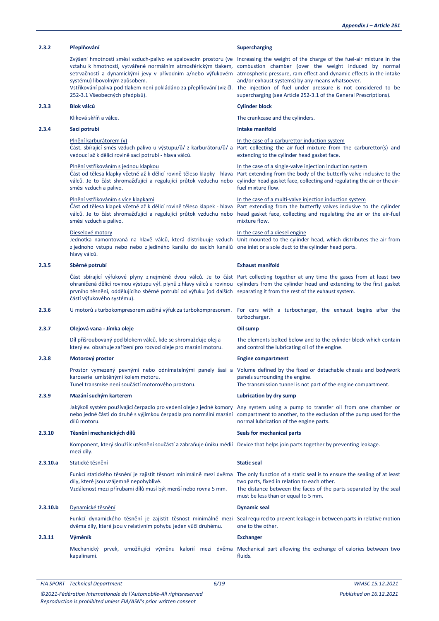| 2.3.2    | Přeplňování                                                                                                                                            | <b>Supercharging</b>                                                                                                                                                                                                                                                                                                                                                                                                                                                                                                                                                                                                                                        |
|----------|--------------------------------------------------------------------------------------------------------------------------------------------------------|-------------------------------------------------------------------------------------------------------------------------------------------------------------------------------------------------------------------------------------------------------------------------------------------------------------------------------------------------------------------------------------------------------------------------------------------------------------------------------------------------------------------------------------------------------------------------------------------------------------------------------------------------------------|
|          | systému) libovolným způsobem.<br>252-3.1 Všeobecných předpisů).                                                                                        | Zvýšení hmotnosti směsi vzduch-palivo ve spalovacím prostoru (ve Increasing the weight of the charge of the fuel-air mixture in the<br>vztahu k hmotnosti, vytvářené normálním atmosférickým tlakem, combustion chamber (over the weight induced by normal<br>setrvačností a dynamickými jevy v přívodním a/nebo výfukovém atmospheric pressure, ram effect and dynamic effects in the intake<br>and/or exhaust systems) by any means whatsoever.<br>Vstřikování paliva pod tlakem není pokládáno za přeplňování (viz čl. The injection of fuel under pressure is not considered to be<br>supercharging (see Article 252-3.1 of the General Prescriptions). |
| 2.3.3    | <b>Blok válců</b>                                                                                                                                      | <b>Cylinder block</b>                                                                                                                                                                                                                                                                                                                                                                                                                                                                                                                                                                                                                                       |
|          | Kliková skříň a válce.                                                                                                                                 | The crankcase and the cylinders.                                                                                                                                                                                                                                                                                                                                                                                                                                                                                                                                                                                                                            |
| 2.3.4    | Sací potrubí                                                                                                                                           | Intake manifold                                                                                                                                                                                                                                                                                                                                                                                                                                                                                                                                                                                                                                             |
|          | Plnění karburátorem (y)<br>vedoucí až k dělicí rovině sací potrubí - hlava válců.                                                                      | In the case of a carburettor induction system<br>Část, sbírající směs vzduch-palivo u výstupu/ů/ z karburátoru/ů/ a Part collecting the air-fuel mixture from the carburettor(s) and<br>extending to the cylinder head gasket face.                                                                                                                                                                                                                                                                                                                                                                                                                         |
|          | <u>Plnění vstřikováním s jednou klapkou</u><br>směsi vzduch a palivo.                                                                                  | In the case of a single-valve injection induction system<br>Část od tělesa klapky včetně až k dělicí rovině těleso klapky - hlava Part extending from the body of the butterfly valve inclusive to the<br>válců. Je to část shromažďující a regulující průtok vzduchu nebo cylinder head gasket face, collecting and regulating the air or the air-<br>fuel mixture flow.                                                                                                                                                                                                                                                                                   |
|          | Plnění vstřikováním s více klapkami<br>směsi vzduch a palivo.                                                                                          | In the case of a multi-valve injection induction system<br>Část od tělesa klapek včetně až k dělicí rovině těleso klapek - hlava Part extending from the butterfly valves inclusive to the cylinder<br>válců. Je to část shromažďující a regulující průtok vzduchu nebo head gasket face, collecting and regulating the air or the air-fuel<br>mixture flow.                                                                                                                                                                                                                                                                                                |
|          | Dieselové motory<br>z jednoho vstupu nebo nebo z jediného kanálu do sacích kanálů one inlet or a sole duct to the cylinder head ports.<br>hlavy válců. | In the case of a diesel engine<br>Jednotka namontovaná na hlavě válců, která distribuuje vzduch Unit mounted to the cylinder head, which distributes the air from                                                                                                                                                                                                                                                                                                                                                                                                                                                                                           |
| 2.3.5    | Sběrné potrubí                                                                                                                                         | <b>Exhaust manifold</b>                                                                                                                                                                                                                                                                                                                                                                                                                                                                                                                                                                                                                                     |
|          | prvního těsnění, oddělujícího sběrné potrubí od výfuku (od dalších separating it from the rest of the exhaust system.<br>částí výfukového systému).    | Cást sbírající výfukové plyny z nejméně dvou válců. Je to část Part collecting together at any time the gases from at least two<br>ohraničená dělicí rovinou výstupu výf. plynů z hlavy válců a rovinou cylinders from the cylinder head and extending to the first gasket                                                                                                                                                                                                                                                                                                                                                                                  |
| 2.3.6    |                                                                                                                                                        | U motorů s turbokompresorem začíná výfuk za turbokompresorem. For cars with a turbocharger, the exhaust begins after the<br>turbocharger.                                                                                                                                                                                                                                                                                                                                                                                                                                                                                                                   |
| 2.3.7    | Olejová vana - Jímka oleje                                                                                                                             | Oil sump                                                                                                                                                                                                                                                                                                                                                                                                                                                                                                                                                                                                                                                    |
|          | Díl přišroubovaný pod blokem válců, kde se shromažďuje olej a<br>který ev. obsahuje zařízení pro rozvod oleje pro mazání motoru.                       | The elements bolted below and to the cylinder block which contain<br>and control the lubricating oil of the engine.                                                                                                                                                                                                                                                                                                                                                                                                                                                                                                                                         |
| 2.3.8    | Motorový prostor                                                                                                                                       | <b>Engine compartment</b>                                                                                                                                                                                                                                                                                                                                                                                                                                                                                                                                                                                                                                   |
|          | karoserie umístěnými kolem motoru.<br>Tunel transmise není součástí motorového prostoru.                                                               | Prostor vymezený pevnými nebo odnímatelnými panely šasi a Volume defined by the fixed or detachable chassis and bodywork<br>panels surrounding the engine.<br>The transmission tunnel is not part of the engine compartment.                                                                                                                                                                                                                                                                                                                                                                                                                                |
| 2.3.9    | Mazání suchým karterem                                                                                                                                 | Lubrication by dry sump                                                                                                                                                                                                                                                                                                                                                                                                                                                                                                                                                                                                                                     |
|          | dílů motoru.                                                                                                                                           | Jakýkoli systém používající čerpadlo pro vedení oleje z jedné komory Any system using a pump to transfer oil from one chamber or<br>nebo jedné části do druhé s výjimkou čerpadla pro normální mazání compartment to another, to the exclusion of the pump used for the<br>normal lubrication of the engine parts.                                                                                                                                                                                                                                                                                                                                          |
| 2.3.10   | Těsnění mechanických dílů                                                                                                                              | Seals for mechanical parts                                                                                                                                                                                                                                                                                                                                                                                                                                                                                                                                                                                                                                  |
|          | Komponent, který slouží k utěsnění součástí a zabraňuje úniku médií Device that helps join parts together by preventing leakage.<br>mezi díly.         |                                                                                                                                                                                                                                                                                                                                                                                                                                                                                                                                                                                                                                                             |
| 2.3.10.a | Statické těsnění                                                                                                                                       | <b>Static seal</b>                                                                                                                                                                                                                                                                                                                                                                                                                                                                                                                                                                                                                                          |
|          | díly, které jsou vzájemně nepohyblivé.<br>Vzdálenost mezi přírubami dílů musí být menší nebo rovna 5 mm.                                               | Funkcí statického těsnění je zajistit těsnost minimálně mezi dvěma The only function of a static seal is to ensure the sealing of at least<br>two parts, fixed in relation to each other.<br>The distance between the faces of the parts separated by the seal<br>must be less than or equal to 5 mm.                                                                                                                                                                                                                                                                                                                                                       |
| 2.3.10.b | Dynamické těsnění                                                                                                                                      | <b>Dynamic seal</b>                                                                                                                                                                                                                                                                                                                                                                                                                                                                                                                                                                                                                                         |
|          | dvěma díly, které jsou v relativním pohybu jeden vůči druhému.                                                                                         | Funkcí dynamického těsnění je zajistit těsnost minimálně mezi Seal required to prevent leakage in between parts in relative motion<br>one to the other.                                                                                                                                                                                                                                                                                                                                                                                                                                                                                                     |
| 2.3.11   | Výměník                                                                                                                                                | <b>Exchanger</b>                                                                                                                                                                                                                                                                                                                                                                                                                                                                                                                                                                                                                                            |
|          | kapalinami.                                                                                                                                            | Mechanický prvek, umožňující výměnu kalorií mezi dvěma Mechanical part allowing the exchange of calories between two<br>fluids.                                                                                                                                                                                                                                                                                                                                                                                                                                                                                                                             |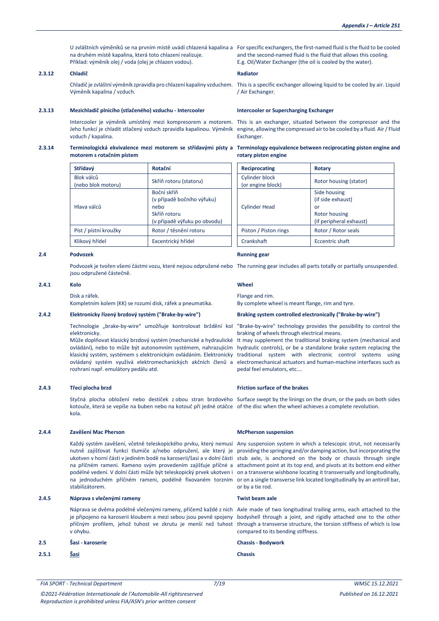U zvláštních výměníků se na prvním místě uvádí chlazená kapalina a For specific exchangers, the first‐named fluid is the fluid to be cooled na druhém místě kapalina, která toto chlazení realizuje. Příklad: výměník olej / voda (olej je chlazen vodou).

### **2.3.12 Chladič Radiator**

Výměník kapalina / vzduch.

# **2.3.13 Mezichladič plnicího (stlačeného) vzduchu ‐ Intercooler Intercooler or Supercharging Exchanger**

vzduch / kapalina.

### **2.3.14 Terminologická ekvivalence mezi motorem se střídavými písty a Terminology equivalence between reciprocating piston engine and motorem s rotačním pístem**

| Střídavý                         | Rotační                                                                                           |
|----------------------------------|---------------------------------------------------------------------------------------------------|
| Blok válců<br>(nebo blok motoru) | Skříň rotoru (statoru)                                                                            |
| Hlava válců                      | Boční skříň<br>(v případě bočního výfuku)<br>nebo<br>Skříň rotoru<br>(v případě výfuku po obvodu) |
| Píst / pístní kroužky            | Rotor / těsnění rotoru                                                                            |
| Klikový hřídel                   | Excentrický hřídel                                                                                |

# **2.4 Podvozek Running gear Running gear**

 Podvozek je tvořen všemi částmi vozu, které nejsou odpružené nebo The running gear includes all parts totally or partially unsuspended. jsou odpružené částečně.

### **2.4.1 Kolo Wheel**

Disk a ráfek.

Kompletním kolem (KK) se rozumí disk, ráfek a pneumatika.

# **2.4.2 Elektronicky řízený brzdový systém ("Brake‐by‐wire") Braking system controlled electronically ("Brake‐by‐wire")**

Technologie "brake-by-wire" umožňuje kontrolovat brždění kol elektronicky.

Může doplňovat klasický brzdový systém (mechanické a hydraulické ovládání), nebo to může být autonomním systémem, nahrazujícím ovládaný systém využívá elektromechanických akčních členů a rozhraní např. emulátory pedálu atd.

# **2.4.3 Třecí plocha brzd Friction surface of the brakes**

kotouče, která se vepíše na buben nebo na kotouč při jedné otáčce of the disc when the wheel achieves a complete revolution. kola.

### **2.4.4 Zavěšení Mac Pherson McPherson suspension**

nutně zajišťovat funkci tlumiče a/nebo odpružení, ale který je stabilizátorem.

# **2.4.5 Náprava s vlečenými rameny Twist beam axle**

 Náprava se dvěma podélně vlečenými rameny, přičemž každé z nich je připojeno na karoserii kloubem a mezi sebou jsou pevně spojeny v ohybu.

# **2.5 Šasi ‐ karoserie Chassis ‐ Bodywork**

**2.5.1 Šasi Chassis** 

and the second‐named fluid is the fluid that allows this cooling. E.g. Oil/Water Exchanger (the oil is cooled by the water).

 Chladič je zvláštní výměník zpravidla pro chlazení kapaliny vzduchem. This is a specific exchanger allowing liquid to be cooled by air. Liquid / Air Exchanger.

 Intercooler je výměník umístěný mezi kompresorem a motorem. This is an exchanger, situated between the compressor and the Jeho funkcí je chladit stlačený vzduch zpravidla kapalinou. Výměník engine, allowing the compressed air to be cooled by a fluid. Air / Fluid Exchanger.

# **rotary piston engine**

| <b>Reciprocating</b>                       | Rotary                                                                                     |
|--------------------------------------------|--------------------------------------------------------------------------------------------|
| <b>Cylinder block</b><br>(or engine block) | Rotor housing (stator)                                                                     |
| <b>Cylinder Head</b>                       | Side housing<br>(if side exhaust)<br>or<br><b>Rotor housing</b><br>(if peripheral exhaust) |
| Piston / Piston rings                      | Rotor / Rotor seals                                                                        |
| Crankshaft                                 | Eccentric shaft                                                                            |

Flange and rim. By complete wheel is meant flange, rim and tyre.

"Brake‐by‐wire" technology provides the possibility to control the braking of wheels through electrical means.

klasický systém, systémem s elektronickým ovládáním. Elektronicky traditional system with electronic control systems using It may supplement the traditional braking system (mechanical and hydraulic controls), or be a standalone brake system replacing the electromechanical actuators and human‐machine interfaces such as pedal feel emulators, etc….

Styčná plocha obložení nebo destiček z obou stran brzdového Surface swept by the linings on the drum, or the pads on both sides

Každý systém zavěšení, včetně teleskopického prvku, který nemusí Any suspension system in which a telescopic strut, not necessarily ukotven v horní části v jediném bodě na karoserii/šasi a v dolní části stub axle, is anchored on the body or chassis through single na příčném rameni. Rameno svým provedením zajišťuje příčné a attachment point at its top end, and pivots at its bottom end either podélné vedení. V dolní části může být teleskopický prvek ukotven i on a transverse wishbone locating it transversally and longitudinally, na jednoduchém příčném rameni, podélně fixovaném torzním or on a single transverse link located longitudinally by an antiroll bar, providing the springing and/or damping action, but incorporating the or by a tie rod.

příčným profilem, jehož tuhost ve zkrutu je menší než tuhost through a transverse structure, the torsion stiffness of which is low Axle made of two longitudinal trailing arms, each attached to the bodyshell through a joint, and rigidly attached one to the other compared to its bending stiffness.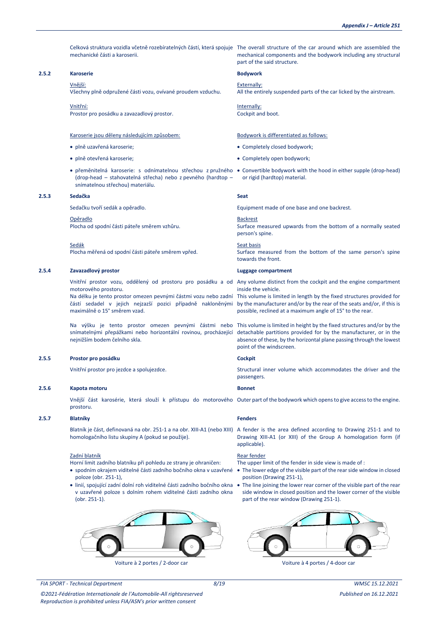mechanické části a karoserii.

### **2.5.2 Karoserie Bodywork**

### Vnější:

Všechny plně odpružené části vozu, ovívané proudem vzduchu.

Vnitřní: Prostor pro posádku a zavazadlový prostor.

### Karoserie jsou děleny následujícím způsobem:

- 
- 
- (drop‐head stahovatelná střecha) nebo z pevného (hardtop snímatelnou střechou) materiálu.

### **2.5.3 Sedačka Seat**

### Opěradlo

Plocha od spodní části páteře směrem vzhůru.

### Sedák

Plocha měřená od spodní části páteře směrem vpřed.

# **2.5.4 Zavazadlový prostor Luggage compartment**

 Vnitřní prostor vozu, oddělený od prostoru pro posádku a od motorového prostoru.

Na délku je tento prostor omezen pevnými částmi vozu nebo zadní částí sedadel v jejich nejzazší pozici případně nakloněnými by the manufacturer and/or by the rear of the seats and/or, if this is maximálně o 15° směrem vzad.

Na výšku je tento prostor omezen pevnými částmi nebo This volume is limited in height by the fixed structures and/or by the snímatelnými přepážkami nebo horizontální rovinou, procházející nejnižším bodem čelního skla.

# **2.5.5 Prostor pro posádku Cockpit**

### **2.5.6 Kapota motoru Bonnet**  Bonnet **Bonnet Bonnet**

 Vnější část karosérie, která slouží k přístupu do motorového Outer part of the bodywork which opens to give access to the engine. prostoru.

### **2.5.7 Blatníky Fenders**

Blatník je část, definovaná na obr. 251-1 a na obr. XIII-A1 (nebo XIII) A fender is the area defined according to Drawing 251-1 and to homologačního listu skupiny A (pokud se použije).

# Zadní blatník

Horní limit zadního blatníku při pohledu ze strany je ohraničen:

- spodním okrajem viditelné části zadního bočního okna v uzavřené poloze (obr. 251‐1),
- v uzavřené poloze s dolním rohem viditelné části zadního okna (obr. 251‐1).



*©2021‐Fédération Internationale de l'Automobile‐All rightsreserved Reproduction is prohibited unless FIA/ASN's prior written consent* 

Celková struktura vozidla včetně rozebíratelných částí, která spojuje The overall structure of the car around which are assembled the mechanical components and the bodywork including any structural part of the said structure.

Externally:

All the entirely suspended parts of the car licked by the airstream.

Internally: Cockpit and boot.

# Bodywork is differentiated as follows:

- plně uzavřená karoserie; Completely closed bodywork;
- plně otevřená karoserie; Completely open bodywork;
- přeměnitelná karoserie: s odnímatelnou střechou z pružného Convertible bodywork with the hood in either supple (drop‐head) or rigid (hardtop) material.

Sedačku tvoří sedák a opěradlo. Equipment made of one base and one backrest.

### Backrest

Surface measured upwards from the bottom of a normally seated person's spine.

Seat basis Surface measured from the bottom of the same person's spine towards the front.

Any volume distinct from the cockpit and the engine compartment inside the vehicle.

This volume is limited in length by the fixed structures provided for possible, reclined at a maximum angle of 15° to the rear.

detachable partitions provided for by the manufacturer, or in the absence of these, by the horizontal plane passing through the lowest point of the windscreen.

Vnitřní prostor pro jezdce a spolujezdce. 
Structural inner volume which accommodates the driver and the passengers.

Drawing XIII-A1 (or XIII) of the Group A homologation form (if applicable).

# Rear fender

The upper limit of the fender in side view is made of :

- The lower edge of the visible part of the rear side window in closed position (Drawing 251‐1),
- Inií, spojující zadní dolní roh viditelné části zadního bočního okna · The line joining the lower rear corner of the visible part of the rear side window in closed position and the lower corner of the visible part of the rear window (Drawing 251‐1).



Voiture à 2 portes / 2‐door car Voiture à 4 portes / 4‐door car

*Published on 16.12.2021*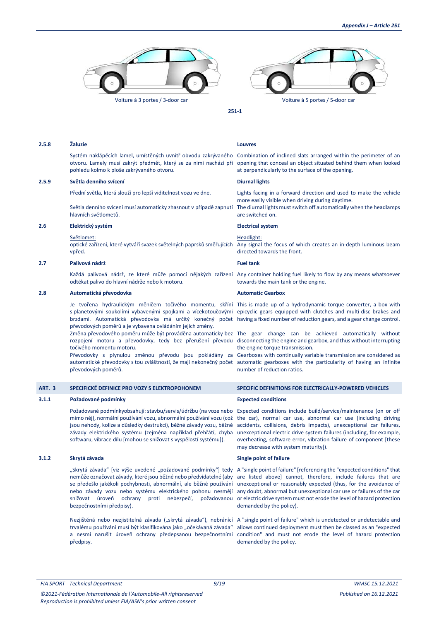



**251‐1** 

### **2.5.8 Žaluzie Louvres**

pohledu kolmo k ploše zakrývaného otvoru.

### **2.5.9 Světla denního svícení Diurnal lights**

Přední světla, která slouží pro lepší viditelnost vozu ve dne.

Světla denního svícení musí automaticky zhasnout v případě zapnutí hlavních světlometů.

# **2.6 Elektrický systém Electrical system**

Světlomet:

optické zařízení, které vytváří svazek světelných paprsků směřujících vpřed.

### **2.7 Palivová nádrž Fuel tank**

odtékat palivo do hlavní nádrže nebo k motoru.

# **2.8 Automatická převodovka Automatic Gearbox**

brzdami. Automatická převodovka má určitý konečný počet převodových poměrů a je vybavena ovládáním jejich změny.

rozpojení motoru a převodovky, tedy bez přerušení převodu točivého momentu motoru.

Převodovky s plynulou změnou převodu jsou pokládány za automatické převodovky s tou zvláštností, že mají nekonečný počet automatic gearboxes with the particularity of having an infinite převodových poměrů.

# **ART. 3 SPECIFICKÉ DEFINICE PRO VOZY S ELEKTROPOHONEM SPECIFIC DEFINITIONS FOR ELECTRICALLY‐POWERED VEHICLES**

# **3.1.1 Požadované podmínky Expected conditions**

 Požadované podmínkyobsahují: stavbu/servis/údržbu (na voze nebo mimo něj), normální používání vozu, abnormální používání vozu (což jsou nehody, kolize a důsledky destrukcí), běžné závady vozu, běžné závady elektrického systému (zejména například přehřátí, chyba unexceptional electric drive system failures (including, for example, softwaru, vibrace dílu [mohou se snižovat s vyspělostí systému]).

# **3.1.2** Skrytá závada **Szeptember 1999 – Szeptember 1999 – Szeptember 1999 – Single point of failure Single point of failure**

nemůže označovat závady, které jsou běžné nebo předvídatelné (aby se předešlo jakékoli pochybnosti, abnormální, ale běžné používání nebo závady vozu nebo systému elektrického pohonu nesmějí bezpečnostními předpisy).

trvalému používání musí být klasifikována jako "očekávaná závada" a nesmí narušit úroveň ochrany předepsanou bezpečnostními předpisy.

Systém naklápěcích lamel, umístěných uvnitř obvodu zakrývaného Combination of inclined slats arranged within the perimeter of an otvoru. Lamely musí zakrýt předmět, který se za nimi nachází při opening that conceal an object situated behind them when looked at perpendicularly to the surface of the opening.

Lights facing in a forward direction and used to make the vehicle more easily visible when driving during daytime.

The diurnal lights must switch off automatically when the headlamps are switched on.

# Headlight:

Any signal the focus of which creates an in-depth luminous beam directed towards the front.

Každá palivová nádrž, ze které může pomocí nějakých zařízení Any container holding fuel likely to flow by any means whatsoever towards the main tank or the engine.

Je tvořena hydraulickým měničem točivého momentu, skříní This is made up of a hydrodynamic torque converter, a box with s planetovými soukolími vybavenými spojkami a vícekotoučovými epicyclic gears equipped with clutches and multi-disc brakes and having a fixed number of reduction gears, and a gear change control.

Změna převodového poměru může být prováděna automaticky bez The gear change can be achieved automatically without disconnecting the engine and gearbox, and thus without interrupting the engine torque transmission.

> Gearboxes with continually variable transmission are considered as number of reduction ratios.

Expected conditions include build/service/maintenance (on or off the car), normal car use, abnormal car use (including driving accidents, collisions, debris impacts), unexceptional car failures, overheating, software error, vibration failure of component [these may decrease with system maturity]).

"Skrytá závada" [viz výše uvedené "požadované podmínky"] tedy A "single point of failure" [referencing the "expected conditions" that snižovat úroveň ochrany proti nebezpečí, požadovanou or electric drive system must not erode the level of hazard protection are listed above] cannot, therefore, include failures that are unexceptional or reasonably expected (thus, for the avoidance of any doubt, abnormal but unexceptional car use or failures of the car demanded by the policy).

Nezjištěná nebo nezjistitelná závada ("skrytá závada"), nebránící A "single point of failure" which is undetected or undetectable and allows continued deployment must then be classed as an "expected condition" and must not erode the level of hazard protection demanded by the policy.

*FIA SPORT ‐ Technical Department 9/19 WMSC 15.12.2021*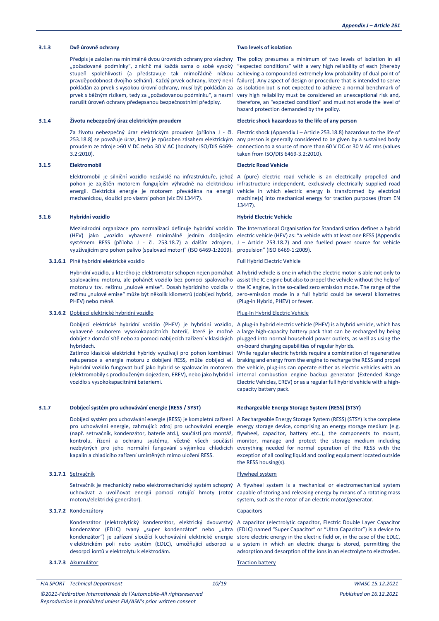### **3.1.3 Dvě úrovně ochrany Two levels of isolation**

Předpis je založen na minimálně dvou úrovních ochrany pro všechny The policy presumes a minimum of two levels of isolation in all "požadované podmínky", z nichž má každá sama o sobě vysoký stupeň spolehlivosti (a představuje tak mimořádně nízkou pravděpodobnost dvojího selhání). Každý prvek ochrany, který není pokládán za prvek s vysokou úrovní ochrany, musí být pokládán za prvek s běžným rizikem, tedy za "požadovanou podmínku", a nesmí narušit úroveň ochrany předepsanou bezpečnostními předpisy.

### **3.1.4 Životu nebezpečný úraz elektrickým proudem Electric shock hazardous to the life of any person**

Za životu nebezpečný úraz elektrickým proudem (příloha J - čl. 253.18.8) se považuje úraz, který je způsoben zásahem elektrickým proudem ze zdroje >60 V DC nebo 30 V AC (hodnoty ISO/DIS 6469‐ 3.2:2010).

# **3.1.5 Elektromobil Electric Road Vehicle**

pohon je zajištěn motorem fungujícím výhradně na elektrickou energii. Elektrická energie je motorem převáděna na energii mechanickou, sloužící pro vlastní pohon (viz EN 13447).

### **3.1.6 Hybridní vozidlo Hybrid Electric Vehicle**

využívajícím pro pohon palivo (spalovací motor)" (ISO 6469‐1:2009). propulsion" (ISO 6469‐1:2009).

# **3.1.6.1** Plně hybridní elektrické vozidlo **Full Hybrid Electric Vehicle Full Hybrid Electric Vehicle**

Hybridní vozidlo, u kterého je elektromotor schopen nejen pomáhat Ahybrid vehicle is one in which the electric motor is able not only to režimu "nulové emise" může být několik kilometrů (dobíjecí hybrid, zero-emission mode in a full hybrid could be several kilometres PHEV) nebo méně.

### **3.1.6.2** Dobíjecí elektrické hybridní vozidlo **Plug-In Hybrid Electric Vehicle** Plug-In Hybrid Electric Vehicle

 Dobíjecí elektrické hybridní vozidlo (PHEV) je hybridní vozidlo, A plug‐in hybrid electric vehicle (PHEV) is a hybrid vehicle, which has vybavené souborem vysokokapacitních baterií, které je možné dobíjet z domácí sítě nebo za pomoci nabíjecích zařízení v klasických hybridech.

Zatímco klasické elektrické hybridy využívají pro pohon kombinaci rekuperace a energie motoru z dobíjení RESS, může dobíjecí el. Hybridní vozidlo fungovat buď jako hybrid se spalovacím motorem the vehicle, plug-ins can operate either as electric vehicles with an (elektromobily s prodlouženým dojezdem, EREV), nebo jako hybridní internal combustion engine backup generator (Extended Range vozidlo s vysokokapacitními bateriemi.

# **3.1.7 Dobíjecí systém pro uchovávání energie (RESS / SYST) Rechargeable Energy Storage System (RESS) (STSY)**

pro uchovávání energie, zahrnující: zdroj pro uchovávání energie (např. setrvačník, kondenzátor, baterie atd.), součásti pro montáž, nezbytných pro jeho normální fungování s výjimkou chladicích kapalin a chladicího zařízení umístěných mimo uložení RESS.

# **3.1.7.1** Setrvačník **Flywheel system**

uchovávat a uvolňovat energii pomocí rotující hmoty (rotor motoru/elektrický generátor).

# **3.1.7.2** Kondenzátory **Capacitors**

kondenzátor (EDLC) zvaný "super kondenzátor" nebo "ultra v elektrickém poli nebo systém (EDLC), umožňující adsorpci a desorpci iontů v elektrolytu k elektrodám.

### **3.1.7.3** Akumulátor **Traction battery**

"expected conditions" with a very high reliability of each (thereby achieving a compounded extremely low probability of dual point of failure). Any aspect of design or procedure that is intended to serve as isolation but is not expected to achieve a normal benchmark of very high reliability must be considered an unexceptional risk and, therefore, an "expected condition" and must not erode the level of hazard protection demanded by the policy.

Electric shock (Appendix J – Article 253.18.8) hazardous to the life of any person is generally considered to be given by a sustained body connection to a source of more than 60 V DC or 30 V AC rms (values taken from ISO/DIS 6469‐3.2:2010).

Elektromobil je silniční vozidlo nezávislé na infrastruktuře, jehož A (pure) electric road vehicle is an electrically propelled and infrastructure independent, exclusively electrically supplied road vehicle in which electric energy is transformed by electrical machine(s) into mechanical energy for traction purposes (from EN 13447).

 Mezinárodní organizace pro normalizaci definuje hybridní vozidlo The International Organisation for Standardisation defines a hybrid (HEV) jako "vozidlo vybavené minimálně jedním dobíjecím electric vehicle (HEV) as: "a vehicle with at least one RESS (Appendix systémem RESS (příloha J - čl. 253.18.7) a dalším zdrojem, J – Article 253.18.7) and one fuelled power source for vehicle

spalovacímu motoru, ale pohánět vozidlo bez pomoci spalovacího assist the IC engine but also to propel the vehicle without the help of motoru v tzv. režimu "nulové emise". Dosah hybridního vozidla v the IC engine, in the so-called zero emission mode. The range of the (Plug‐in Hybrid, PHEV) or fewer.

a large high-capacity battery pack that can be recharged by being plugged into normal household power outlets, as well as using the on‐board charging capabilities of regular hybrids.

While regular electric hybrids require a combination of regenerative braking and energy from the engine to recharge the RESS and propel Electric Vehicles, EREV) or as a regular full hybrid vehicle with a high‐ capacity battery pack.

 Dobíjecí systém pro uchovávání energie (RESS) je kompletní zařízení A Rechargeable Energy Storage System (RESS) (STSY) is the complete kontrolu, řízení a ochranu systému, včetně všech součástí monitor, manage and protect the storage medium including energy storage device, comprising an energy storage medium (e.g. flywheel, capacitor, battery etc..), the components to mount, everything needed for normal operation of the RESS with the exception of all cooling liquid and cooling equipment located outside the RESS housing(s).

Setrvačník je mechanický nebo elektromechanický systém schopný A flywheel system is a mechanical or electromechanical system capable of storing and releasing energy by means of a rotating mass system, such as the rotor of an electric motor/generator.

Kondenzátor (elektrolytický kondenzátor, elektrický dvouvrstvý A capacitor (electrolytic capacitor, Electric Double Layer Capacitor kondenzátor") je zařízení sloužící k uchovávání elektrické energie store electric energy in the electric field or, in the case of the EDLC, (EDLC) named "Super Capacitor" or "Ultra Capacitor") is a device to a system in which an electric charge is stored, permitting the adsorption and desorption of the ions in an electrolyte to electrodes.

*©2021‐Fédération Internationale de l'Automobile‐All rightsreserved Reproduction is prohibited unless FIA/ASN's prior written consent* 

*FIA SPORT ‐ Technical Department 10/19 WMSC 15.12.2021*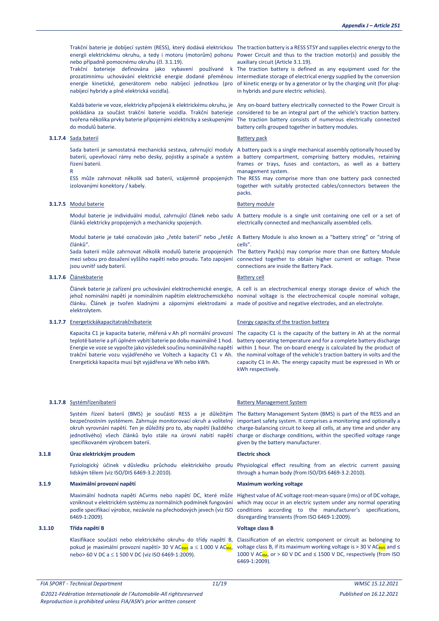Trakční baterie je dobíjecí systém (RESS), který dodává elektrickou The traction battery is a RESS STSY and supplies electric energy to the nebo případně pomocnému okruhu (čl. 3.1.19).

energie kinetické, generátorem nebo nabíjecí jednotkou (pro of kinetic energy or by a generator or by the charging unit (for plugnabíjecí hybridy a plně elektrická vozidla).

Každá baterie ve voze, elektricky připojená k elektrickému okruhu, je Any on-board battery electrically connected to the Power Circuit is pokládána za součást trakční baterie vozidla. Trakční baterieje tvořena několika prvky baterie připojenými elektricky a seskupenými do modulů baterie.

### **3.1.7.4** Sada baterií **Battery pack Battery pack**

Sada baterií je samostatná mechanická sestava, zahrnující moduly Abattery pack is a single mechanical assembly optionally housed by baterií, upevňovací rámy nebo desky, pojistky a spínače a systém řízení baterií. R

ESS může zahrnovat několik sad baterií, vzájemně propojených izolovanými konektory / kabely.

# **3.1.7.5** Modul baterie **Battery module Battery module**

článků elektricky propojených a mechanicky spojených.

článků".

Sada baterií může zahrnovat několik modulů baterie propojených jsou uvnitř sady baterií.

# **3.1.7.6** Článekbaterie Battery cell

článku. Článek je tvořen kladnými a zápornými elektrodami a made of positive and negative electrodes, and an electrolyte. elektrolytem.

Energie ve voze se vypočte jako výsledek součinu nominálního napětí Energetická kapacita musí být vyjádřena ve Wh nebo kWh.

specifikovaném výrobcem baterií.

### **3.1.8 Úraz elektrickým proudem Electric shock**

Fyziologický účinek v důsledku průchodu elektrického proudu Physiological effect resulting from an electric current passing lidským tělem (viz ISO/DIS 6469‐3.2:2010).

# **3.1.9 Maximální provozní napětí Maximum working voltage**

 Maximální hodnota napětí ACvrms nebo napětí DC, které může Highest value of AC voltage root‐mean‐square (rms) or of DC voltage, vzniknout v elektrickém systému za normálních podmínek fungování podle specifikací výrobce, nezávisle na přechodových jevech (viz ISO 6469‐1:2009).

# **3.1.10 Třída napětí B Voltage class B**

 Klasifikace součásti nebo elektrického okruhu do třídy napětí B, pokud je maximální provozní napětí> 30 V AC $_{RMS}$  a  $\leq 1000$  V AC $_{RMS}$ nebo> 60 V DC a ≤ 1 500 V DC (viz ISO 6469-1:2009).

energii elektrickému okruhu, a tedy i motoru (motorům) pohonu Power Circuit and thus to the traction motor(s) and possibly the auxiliary circuit (Article 3.1.19).

Trakční baterieje definována jako vybavení používané k The-traction-battery-is-defined-as-any-equipment-used-for-the prozatímnímu uchovávání elektrické energie dodané přeměnou intermediate storage of electrical energy supplied by the conversion in hybrids and pure electric vehicles).

> considered to be an integral part of the vehicle's traction battery. The traction battery consists of numerous electrically connected battery cells grouped together in battery modules.

a battery compartment, comprising battery modules, retaining frames or trays, fuses and contactors, as well as a battery management system.

The RESS may comprise more than one battery pack connected together with suitably protected cables/connectors between the packs.

Modul baterie je individuální modul, zahrnující článek nebo sadu A battery module is a single unit containing one cell or a set of electrically connected and mechanically assembled cells.

Modul baterie je také označován jako "řetěz baterií" nebo "řetěz A Battery Module is also known as a "battery string" or "string of cells".

mezi sebou pro dosažení vyššího napětí nebo proudu. Tato zapojení connected together to obtain higher current or voltage. These The Battery Pack(s) may comprise more than one Battery Module connections are inside the Battery Pack.

Článek baterie je zařízení pro uchovávání elektrochemické energie, A cell is an electrochemical energy storage device of which the jehož nominální napětí je nominálním napětím elektrochemického nominal voltage is the electrochemical couple nominal voltage,

# **3.1.7.7 Energetickákapacitatrakčníbaterie Energy capacity of the traction battery**

Kapacita C1 je kapacita baterie, měřená v Ah při normální provozní The capacity C1 is the capacity of the battery in Ah at the normal teplotě baterie a při úplném vybití baterie po dobu maximálně 1 hod. battery operating temperature and for a complete battery discharge trakční baterie vozu vyjádřeného ve Voltech a kapacity C1 v Ah. the nominal voltage of the vehicle's traction battery in volts and the within 1 hour. The on-board energy is calculated by the product of capacity C1 in Ah. The energy capacity must be expressed in Wh or kWh respectively.

### **3.1.7.8** Systémřízeníbaterií **Battery Management System**

 Systém řízení baterií (BMS) je součástí RESS a je důležitým The Battery Management System (BMS) is part of the RESS and an bezpečnostním systémem. Zahrnuje monitorovací okruh a volitelný important safety system. It comprises a monitoring and optionally a okruh vyrovnání napětí. Ten je důležitý pro to, aby napětí (každého charge-balancing circuit to keep all cells, at any time and under any jednotlivého) všech článků bylo stále na úrovni nabití napětí charge ordischarge conditions, within the specified voltage range given by the battery manufacturer.

through a human body (from ISO/DIS 6469‐3.2:2010).

which may occur in an electric system under any normal operating conditions according to the manufacturer's specifications, disregarding transients (from ISO 6469‐1:2009).

Classification of an electric component or circuit as belonging to voltage class B, if its maximum working voltage is > 30 V AC<sub>RMS</sub> and  $\leq$ 1000 V AC $_{RM}$ , or > 60 V DC and ≤ 1500 V DC, respectively (from ISO 6469‐1:2009).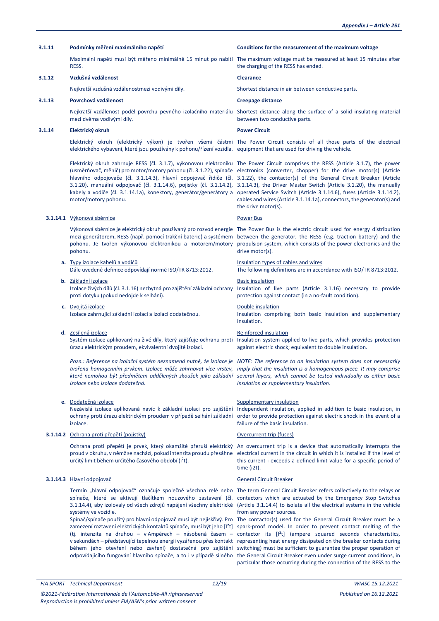|        | RESS.                                                                                                                 | Maximální napětí musí být měřeno minimálně 15 minut po nabití The maximum voltage must be measured at least 15 minutes after<br>the charging of the RESS has ended.                                                                                                                                                                                                                                                                                                                                                                                                                                                                                                                                                                                                                                                                                                                                                                                                                                                      |
|--------|-----------------------------------------------------------------------------------------------------------------------|--------------------------------------------------------------------------------------------------------------------------------------------------------------------------------------------------------------------------------------------------------------------------------------------------------------------------------------------------------------------------------------------------------------------------------------------------------------------------------------------------------------------------------------------------------------------------------------------------------------------------------------------------------------------------------------------------------------------------------------------------------------------------------------------------------------------------------------------------------------------------------------------------------------------------------------------------------------------------------------------------------------------------|
| 3.1.12 | Vzdušná vzdálenost                                                                                                    | <b>Clearance</b>                                                                                                                                                                                                                                                                                                                                                                                                                                                                                                                                                                                                                                                                                                                                                                                                                                                                                                                                                                                                         |
|        | Nejkratší vzdušná vzdálenostmezi vodivými díly.                                                                       | Shortest distance in air between conductive parts.                                                                                                                                                                                                                                                                                                                                                                                                                                                                                                                                                                                                                                                                                                                                                                                                                                                                                                                                                                       |
| 3.1.13 | Povrchová vzdálenost                                                                                                  | <b>Creepage distance</b>                                                                                                                                                                                                                                                                                                                                                                                                                                                                                                                                                                                                                                                                                                                                                                                                                                                                                                                                                                                                 |
|        | mezi dvěma vodivými díly.                                                                                             | Nejkratší vzdálenost podél povrchu pevného izolačního materiálu Shortest distance along the surface of a solid insulating material<br>between two conductive parts.                                                                                                                                                                                                                                                                                                                                                                                                                                                                                                                                                                                                                                                                                                                                                                                                                                                      |
| 3.1.14 | Elektrický okruh                                                                                                      | <b>Power Circuit</b>                                                                                                                                                                                                                                                                                                                                                                                                                                                                                                                                                                                                                                                                                                                                                                                                                                                                                                                                                                                                     |
|        | elektrického vybavení, které jsou používány k pohonu/řízení vozidla. equipment that are used for driving the vehicle. | Elektrický okruh (elektrický výkon) je tvořen všemi částmi The Power Circuit consists of all those parts of the electrical                                                                                                                                                                                                                                                                                                                                                                                                                                                                                                                                                                                                                                                                                                                                                                                                                                                                                               |
|        | motor/motory pohonu.                                                                                                  | Elektrický okruh zahrnuje RESS (čl. 3.1.7), výkonovou elektroniku The Power Circuit comprises the RESS (Article 3.1.7), the power<br>(usměrňovač, měnič) pro motor/motory pohonu (čl. 3.1.22), spínače electronics (converter, chopper) for the drive motor(s) (Article<br>hlavního odpojovače (čl. 3.1.14.3), hlavní odpojovač řidiče (čl. 3.1.22), the contactor(s) of the General Circuit Breaker (Article<br>3.1.20), manuální odpojovač (čl. 3.1.14.6), pojistky (čl. 3.1.14.2), 3.1.14.3), the Driver Master Switch (Article 3.1.20), the manually<br>kabely a vodiče (čl. 3.1.14.1a), konektory, generátor/generátory a operated Service Switch (Article 3.1.14.6), fuses (Article 3.1.14.2),<br>cables and wires (Article 3.1.14.1a), connectors, the generator(s) and<br>the drive motor(s).                                                                                                                                                                                                                    |
|        | 3.1.14.1 Výkonová sběrnice                                                                                            | <b>Power Bus</b>                                                                                                                                                                                                                                                                                                                                                                                                                                                                                                                                                                                                                                                                                                                                                                                                                                                                                                                                                                                                         |
|        | pohonu.                                                                                                               | Výkonová sběrnice je elektrický okruh používaný pro rozvod energie The Power Bus is the electric circuit used for energy distribution<br>mezi generátorem, RESS (např. pomocí trakční baterie) a systémem between the generator, the RESS (e.g. traction battery) and the<br>pohonu. Je tvořen výkonovou elektronikou a motorem/motory propulsion system, which consists of the power electronics and the<br>drive motor(s).                                                                                                                                                                                                                                                                                                                                                                                                                                                                                                                                                                                             |
|        | a. Typy izolace kabelů a vodičů<br>Dále uvedené definice odpovídají normě ISO/TR 8713:2012.                           | Insulation types of cables and wires<br>The following definitions are in accordance with ISO/TR 8713:2012.                                                                                                                                                                                                                                                                                                                                                                                                                                                                                                                                                                                                                                                                                                                                                                                                                                                                                                               |
|        | <b>b.</b> Základní izolace<br>proti dotyku (pokud nedojde k selhání).                                                 | <b>Basic insulation</b><br>Izolace živých dílů (čl. 3.1.16) nezbytná pro zajištění základní ochrany Insulation of live parts (Article 3.1.16) necessary to provide<br>protection against contact (in a no-fault condition).                                                                                                                                                                                                                                                                                                                                                                                                                                                                                                                                                                                                                                                                                                                                                                                              |
|        | c. Dvojitá izolace<br>Izolace zahrnující základní izolaci a izolaci dodatečnou.                                       | Double insulation<br>Insulation comprising both basic insulation and supplementary<br>insulation.                                                                                                                                                                                                                                                                                                                                                                                                                                                                                                                                                                                                                                                                                                                                                                                                                                                                                                                        |
|        | d. Zesílená izolace<br>úrazu elektrickým proudem, ekvivalentní dvojité izolaci.                                       | Reinforced insulation<br>Systém izolace aplikovaný na živé díly, který zajišťuje ochranu proti Insulation system applied to live parts, which provides protection<br>against electric shock; equivalent to double insulation.                                                                                                                                                                                                                                                                                                                                                                                                                                                                                                                                                                                                                                                                                                                                                                                            |
|        | izolace nebo izolace dodatečná.                                                                                       | Pozn.: Reference na izolační systém neznamená nutně, že izolace je NOTE: The reference to an insulation system does not necessarily<br>tvořena homogenním prvkem. Izolace může zahrnovat více vrstev, imply that the insulation is a homogeneous piece. It may comprise<br>které nemohou být předmětem oddělených zkoušek jako základní several layers, which cannot be tested individually as either basic<br>insulation or supplementary insulation.                                                                                                                                                                                                                                                                                                                                                                                                                                                                                                                                                                   |
|        | e. Dodatečná izolace<br>izolace.                                                                                      | <b>Supplementary insulation</b><br>Nezávislá izolace aplikovaná navíc k základní izolaci pro zajištění Independent insulation, applied in addition to basic insulation, in<br>ochrany proti úrazu elektrickým proudem v případě selhání základní order to provide protection against electric shock in the event of a<br>failure of the basic insulation.                                                                                                                                                                                                                                                                                                                                                                                                                                                                                                                                                                                                                                                                |
|        | 3.1.14.2 Ochrana proti přepětí (pojistky)                                                                             | Overcurrent trip (fuses)                                                                                                                                                                                                                                                                                                                                                                                                                                                                                                                                                                                                                                                                                                                                                                                                                                                                                                                                                                                                 |
|        | určitý limit během určitého časového období (i <sup>2</sup> t).                                                       | Ochrana proti přepětí je prvek, který okamžitě přeruší elektrický An overcurrent trip is a device that automatically interrupts the<br>proud v okruhu, v němž se nachází, pokud intenzita proudu přesáhne electrical current in the circuit in which it is installed if the level of<br>this current i exceeds a defined limit value for a specific period of<br>time $(i2t)$ .                                                                                                                                                                                                                                                                                                                                                                                                                                                                                                                                                                                                                                          |
|        | 3.1.14.3 Hlavní odpojovač                                                                                             | <b>General Circuit Breaker</b>                                                                                                                                                                                                                                                                                                                                                                                                                                                                                                                                                                                                                                                                                                                                                                                                                                                                                                                                                                                           |
|        | systémy ve vozidle.                                                                                                   | Termín "hlavní odpojovač" označuje společně všechna relé nebo The term General Circuit Breaker refers collectively to the relays or<br>spínače, které se aktivují tlačítkem nouzového zastavení (čl. contactors which are actuated by the Emergency Stop Switches<br>3.1.14.4), aby izolovaly od všech zdrojů napájení všechny elektrické (Article 3.1.14.4) to isolate all the electrical systems in the vehicle<br>from any power sources.<br>Spínač/spínače použitý pro hlavní odpojovač musí být nejiskřivý. Pro The contactor(s) used for the General Circuit Breaker must be a<br>zamezení roztavení elektrických kontaktů spínače, musí být jeho [1 <sup>2</sup> t] spark-proof model. In order to prevent contact melting of the<br>(tj. intenzita na druhou - v Ampérech - násobená časem - contactor its [I <sup>2</sup> t] (ampere squared seconds characteristics,<br>v sekundách - představující tepelnou energii vyzářenou přes kontakt representing heat energy dissipated on the breaker contacts during |

*FIA SPORT ‐ Technical Department 12/19 WMSC 15.12.2021* 

*©2021‐Fédération Internationale de l'Automobile‐All rightsreserved Reproduction is prohibited unless FIA/ASN's prior written consent* 

během jeho otevření nebo zavření) dostatečná pro zajištění switching) must be sufficient to guarantee the proper operation of odpovídajícího fungování hlavního spínače, a to i v případě silného the General Circuit Breaker even under surge current conditions, in

particular those occurring during the connection of the RESS to the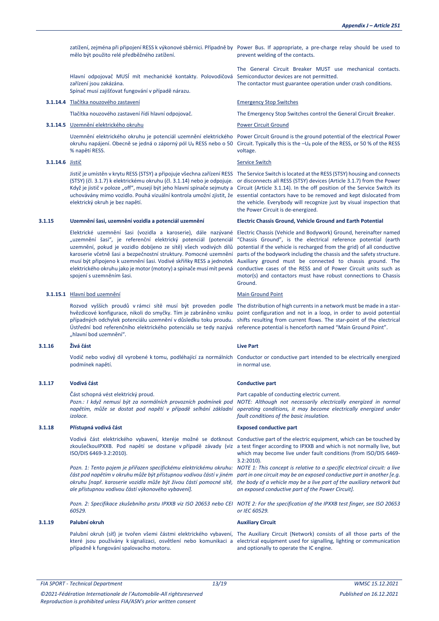zatížení, zejména při připojení RESS k výkonové sběrnici. Případně by Power Bus. If appropriate, a pre-charge relay should be used to mělo být použito relé předběžného zatížení. Hlavní odpojovač MUSÍ mít mechanické kontakty. Polovodičová zařízení jsou zakázána. Spínač musí zajišťovat fungování v případě nárazu. prevent welding of the contacts. The General Circuit Breaker MUST use mechanical contacts. Semiconductor devices are not permitted. The contactor must guarantee operation under crash conditions. **3.1.14.4**  Tlačítka nouzového zastavení Emergency Stop Switches Tlačítka nouzového zastavení řídí hlavní odpojovač. The Emergency Stop Switches control the General Circuit Breaker. **3.1.14.5** Uzemnění elektrického okruhu **Manuel Valence Power Circuit Ground** 

voltage.

 Uzemnění elektrického okruhu je potenciál uzemnění elektrického okruhu napájení. Obecně se jedná o záporný pól U<sub>B</sub> RESS nebo o 50 Circuit. Typically this is the –U<sub>B</sub> pole of the RESS, or 50 % of the RESS % napětí RESS.

# **3.1.14.6** Jistič Service Switch

 Jistič je umístěn v krytu RESS (STSY) a připojuje všechna zařízení RESS The Service Switch is located at the RESS (STSY) housing and connects (STSY) (čl. 3.1.7) k elektrickému okruhu (čl. 3.1.14) nebo je odpojuje. Když je jistič v poloze "off", musejí být jeho hlavní spínače sejmuty a uchovávány mimo vozidlo. Pouhá vizuální kontrola umožní zjistit, že elektrický okruh je bez napětí.

**3.1.15 Uzemnění šasi, uzemnění vozidla a potenciál uzemnění Electric Chassis Ground, Vehicle Ground and Earth Potential**

 Elektrické uzemnění šasi (vozidla a karoserie), dále nazývané "uzemnění šasi", je referenční elektrický potenciál (potenciál uzemnění, pokud je vozidlo dobíjeno ze sítě) všech vodivých dílů karoserie včetně šasi a bezpečnostní struktury. Pomocné uzemnění musí být připojeno k uzemnění šasi. Vodivé skříňky RESS a jednotek elektrického okruhu jako je motor (motory) a spínače musí mít pevná spojení s uzemněním šasi.

# **3.1.15.1 Hlavní bod uzemnění** Main Ground Point

Ústřední bod referenčního elektrického potenciálu se tedy nazývá reference potential is henceforth named "Main Ground Point". "hlavní bod uzemnění".

### **3.1.16 Živá část Live Part**

podmínek napětí.

# **3.1.17 Vodivá část Conductive part**

Část schopná vést elektrický proud.

*Pozn.: I když nemusí být za normálních provozních podmínek pod izolace.* 

### **3.1.18 Přístupná vodivá část Exposed conductive part**

ISO/DIS 6469‐3.2:2010).

*ale přístupnou vodivou částí výkonového vybavení].* 

*60529.* 

# **3.1.19** Palubní okruh **Auxiliary Circuit Laurence Auxiliary Circuit** Auxiliary Circuit

případně k fungování spalovacího motoru.

the Power Circuit is de‐energized.

Electric Chassis (Vehicle and Bodywork) Ground, hereinafter named "Chassis Ground", is the electrical reference potential (earth potential if the vehicle is recharged from the grid) of all conductive parts of the bodywork including the chassis and the safety structure. Auxiliary ground must be connected to chassis ground. The conductive cases of the RESS and of Power Circuit units such as motor(s) and contactors must have robust connections to Chassis Ground.

Power Circuit Ground is the ground potential of the electrical Power

or disconnects all RESS (STSY) devices (Article 3.1.7) from the Power Circuit (Article 3.1.14). In the off position of the Service Switch its essential contactors have to be removed and kept dislocated from the vehicle. Everybody will recognize just by visual inspection that

Rozvod vyšších proudů v rámci sítě musí být proveden podle The distribution of high currents in a network must be made in a starhvězdicové konfigurace, nikoli do smyčky. Tím je zabráněno vzniku point configuration and not in a loop, in order to avoid potential případných odchylek potenciálu uzemnění v důsledku toku proudu. shifts resulting from current flows. The star-point of the electrical

 Vodič nebo vodivý díl vyrobené k tomu, podléhající za normálních Conductor or conductive part intended to be electrically energized in normal use.

Part capable of conducting electric current.

*napětím, může se dostat pod napětí v případě selhání základní operating conditions, it may become electrically energized under NOTE: Although not necessarily electrically energized in normal fault conditions of the basic insulation.* 

Vodivá část elektrického vybavení, kteréje možné se dotknout Conductive partof the electric equipment, which can be touched by zkoušečkouIPXXB. Pod napětí se dostane v případě závady (viz a test finger according to IPXXB and which is not normally live, but which may become live under fault conditions (from ISO/DIS 6469-3.2:2010).

Pozn. 1: Tento pojem je přiřazen specifickému elektrickému okruhu: NOTE 1: This concept is relative to a specific electrical circuit: a live část pod napětím v okruhu může být přístupnou vodivou částí v jiném part in one circuit may be an exposed conductive part in another [e.g. okruhu [např. karoserie vozidla může být živou částí pomocné sítě, the body of a vehicle may be a live part of the auxiliary network but *an exposed conductive part of the Power Circuit].* 

*Pozn. 2: Specifikace zkušebního prstu IPXXB viz ISO 20653 nebo CEI NOTE 2: For the specification of the IPXXB test finger, see ISO 20653 or IEC 60529.* 

Palubní okruh (síť) je tvořen všemi částmi elektrického vybavení, The Auxiliary Circuit (Network) consists of all those parts of the které jsou používány k signalizaci, osvětlení nebo komunikaci a electrical equipment used for signalling, lighting or communication and optionally to operate the IC engine.

*FIA SPORT ‐ Technical Department 13/19 WMSC 15.12.2021*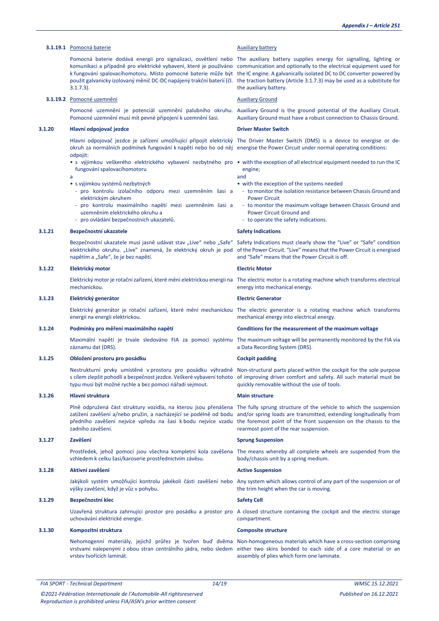|        | 3.1.19.1 Pomocná baterie                                                                                                                                                                                                                                   | <b>Auxiliary battery</b>                                                                                                                                                                                                                                                                                                                                                                                                                                                                                                                                                                |
|--------|------------------------------------------------------------------------------------------------------------------------------------------------------------------------------------------------------------------------------------------------------------|-----------------------------------------------------------------------------------------------------------------------------------------------------------------------------------------------------------------------------------------------------------------------------------------------------------------------------------------------------------------------------------------------------------------------------------------------------------------------------------------------------------------------------------------------------------------------------------------|
|        | $3.1.7.3$ ).                                                                                                                                                                                                                                               | Pomocná baterie dodává energii pro signalizaci, osvětlení nebo The auxiliary battery supplies energy for signalling, lighting or<br>komunikaci a případně pro elektrické vybavení, které je používáno communication and optionally to the electrical equipment used for<br>k fungování spalovacíhomotoru. Místo pomocné baterie může být the IC engine. A galvanically isolated DC to DC converter powered by<br>použit galvanicky izolovaný měnič DC-DC napájený trakční baterií (čl. the traction battery (Article 3.1.7.3) may be used as a substitute for<br>the auxiliary battery. |
|        | 3.1.19.2 Pomocné uzemnění                                                                                                                                                                                                                                  | <b>Auxiliary Ground</b>                                                                                                                                                                                                                                                                                                                                                                                                                                                                                                                                                                 |
|        | Pomocné uzemnění musí mít pevné připojení k uzemnění šasi.                                                                                                                                                                                                 | Pomocné uzemnění je potenciál uzemnění palubního okruhu. Auxiliary Ground is the ground potential of the Auxiliary Circuit.<br>Auxiliary Ground must have a robust connection to Chassis Ground.                                                                                                                                                                                                                                                                                                                                                                                        |
| 3.1.20 | Hlavní odpojovač jezdce                                                                                                                                                                                                                                    | <b>Driver Master Switch</b>                                                                                                                                                                                                                                                                                                                                                                                                                                                                                                                                                             |
|        | okruh za normálních podmínek fungování k napětí nebo ho od něj energise the Power Circuit under normal operating conditions:<br>odpojit:                                                                                                                   | Hlavní odpojovač jezdce je zařízení umožňující připojit elektrický The Driver Master Switch (DMS) is a device to energise or de-                                                                                                                                                                                                                                                                                                                                                                                                                                                        |
|        | fungování spalovacíhomotoru<br>а                                                                                                                                                                                                                           | • s výjimkou veškerého elektrického vybavení nezbytného pro • with the exception of all electrical equipment needed to run the IC<br>engine;<br>and                                                                                                                                                                                                                                                                                                                                                                                                                                     |
|        | · s výjimkou systémů nezbytných<br>- pro kontrolu izolačního odporu mezi uzemněním šasi a<br>elektrickým okruhem<br>- pro kontrolu maximálního napětí mezi uzemněním šasi a<br>uzemněním elektrického okruhu a<br>- pro ovládání bezpečnostních ukazatelů. | • with the exception of the systems needed<br>- to monitor the isolation resistance between Chassis Ground and<br><b>Power Circuit</b><br>- to monitor the maximum voltage between Chassis Ground and<br>Power Circuit Ground and<br>- to operate the safety indications.                                                                                                                                                                                                                                                                                                               |
| 3.1.21 | Bezpečnostní ukazatele                                                                                                                                                                                                                                     | <b>Safety Indications</b>                                                                                                                                                                                                                                                                                                                                                                                                                                                                                                                                                               |
|        | napětím a "Safe", že je bez napětí.                                                                                                                                                                                                                        | Bezpečnostní ukazatele musí jasně udávat stav "Live" nebo "Safe" Safety Indications must clearly show the "Live" or "Safe" condition<br>elektrického okruhu. "Live" znamená, že elektrický okruh je pod of the Power Circuit. "Live" means that the Power Circuit is energised<br>and "Safe" means that the Power Circuit is off.                                                                                                                                                                                                                                                       |
| 3.1.22 | Elektrický motor                                                                                                                                                                                                                                           | <b>Electric Motor</b>                                                                                                                                                                                                                                                                                                                                                                                                                                                                                                                                                                   |
|        | mechanickou.                                                                                                                                                                                                                                               | Elektrický motor je rotační zařízení, které mění elektrickou energii na The electric motor is a rotating machine which transforms electrical<br>energy into mechanical energy.                                                                                                                                                                                                                                                                                                                                                                                                          |
| 3.1.23 | Elektrický generátor                                                                                                                                                                                                                                       | <b>Electric Generator</b>                                                                                                                                                                                                                                                                                                                                                                                                                                                                                                                                                               |
|        | energii na energii elektrickou.                                                                                                                                                                                                                            | Elektrický generátor je rotační zařízení, které mění mechanickou The electric generator is a rotating machine which transforms<br>mechanical energy into electrical energy.                                                                                                                                                                                                                                                                                                                                                                                                             |
| 3.1.24 | Podmínky pro měření maximálního napětí                                                                                                                                                                                                                     | Conditions for the measurement of the maximum voltage                                                                                                                                                                                                                                                                                                                                                                                                                                                                                                                                   |
|        | záznamu dat (DRS).                                                                                                                                                                                                                                         | Maximální napětí je trvale sledováno FIA za pomoci systému The maximum voltage will be permanently monitored by the FIA via<br>a Data Recording System (DRS).                                                                                                                                                                                                                                                                                                                                                                                                                           |
| 3.1.25 | Obložení prostoru pro posádku                                                                                                                                                                                                                              | <b>Cockpit padding</b>                                                                                                                                                                                                                                                                                                                                                                                                                                                                                                                                                                  |
|        | typu musí být možné rychle a bez pomoci nářadí sejmout.                                                                                                                                                                                                    | Nestrukturní prvky umístěné v prostoru pro posádku výhradně Non-structural parts placed within the cockpit for the sole purpose<br>s cílem zlepšit pohodlí a bezpečnost jezdce. Veškeré vybavení tohoto of improving driver comfort and safety. All such material must be<br>quickly removable without the use of tools.                                                                                                                                                                                                                                                                |
| 3.1.26 | Hlavní struktura                                                                                                                                                                                                                                           | <b>Main structure</b>                                                                                                                                                                                                                                                                                                                                                                                                                                                                                                                                                                   |
|        | zadního zavěšení.                                                                                                                                                                                                                                          | Plně odpružená část struktury vozidla, na kterou jsou přenášena The fully sprung structure of the vehicle to which the suspension<br>zatížení zavěšení a/nebo pružin, a nacházející se podélně od bodu and/or spring loads are transmitted, extending longitudinally from<br>předního zavěšení nejvíce vpředu na šasi k bodu nejvíce vzadu the foremost point of the front suspension on the chassis to the<br>rearmost point of the rear suspension.                                                                                                                                   |
| 3.1.27 | Zavěšení                                                                                                                                                                                                                                                   | <b>Sprung Suspension</b>                                                                                                                                                                                                                                                                                                                                                                                                                                                                                                                                                                |
|        | vzhledem k celku šasi/karoserie prostřednictvím závěsu.                                                                                                                                                                                                    | Prostředek, jehož pomocí jsou všechna kompletní kola zavěšena The means whereby all complete wheels are suspended from the<br>body/chassis unit by a spring medium.                                                                                                                                                                                                                                                                                                                                                                                                                     |
| 3.1.28 | Aktivní zavěšení                                                                                                                                                                                                                                           | <b>Active Suspension</b>                                                                                                                                                                                                                                                                                                                                                                                                                                                                                                                                                                |
|        | výšky zavěšení, když je vůz v pohybu.                                                                                                                                                                                                                      | Jakýkoli systém umožňující kontrolu jakékoli části zavěšení nebo Any system which allows control of any part of the suspension or of<br>the trim height when the car is moving.                                                                                                                                                                                                                                                                                                                                                                                                         |
| 3.1.29 | Bezpečnostní klec                                                                                                                                                                                                                                          | <b>Safety Cell</b>                                                                                                                                                                                                                                                                                                                                                                                                                                                                                                                                                                      |
|        | uchovávání elektrické energie.                                                                                                                                                                                                                             | Uzavřená struktura zahrnující prostor pro posádku a prostor pro A closed structure containing the cockpit and the electric storage<br>compartment.                                                                                                                                                                                                                                                                                                                                                                                                                                      |
| 3.1.30 | Kompozitní struktura                                                                                                                                                                                                                                       | <b>Composite structure</b>                                                                                                                                                                                                                                                                                                                                                                                                                                                                                                                                                              |
|        |                                                                                                                                                                                                                                                            | Nehomogenní materiály, jejichž průřez je tvořen buď dvěma Non-homogeneous materials which have a cross-section comprising<br>vrstvami nalepenými z obou stran centrálního jádra, nebo sledem either two skins bonded to each side of a core material or an                                                                                                                                                                                                                                                                                                                              |

vrstev tvořících laminát.

assembly of plies which form one laminate.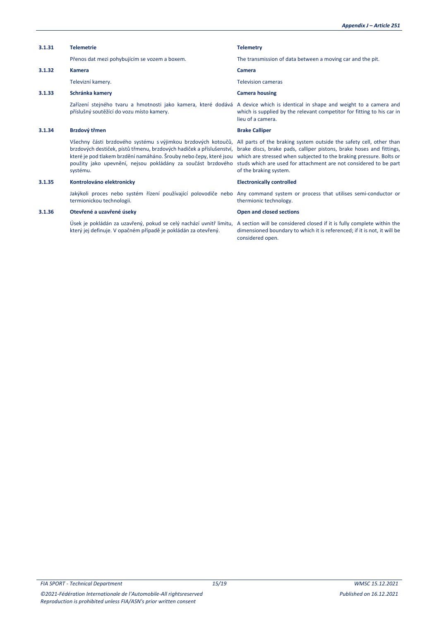dimensioned boundary to which it is referenced; if it is not, it will be

considered open.

| 3.1.31 | <b>Telemetrie</b>                                                                                                                                         | <b>Telemetry</b>                                                                                                                                                                                                                                                                                                                                                                                                                                                                                                                                                                     |
|--------|-----------------------------------------------------------------------------------------------------------------------------------------------------------|--------------------------------------------------------------------------------------------------------------------------------------------------------------------------------------------------------------------------------------------------------------------------------------------------------------------------------------------------------------------------------------------------------------------------------------------------------------------------------------------------------------------------------------------------------------------------------------|
|        | Přenos dat mezi pohybujícím se vozem a boxem.                                                                                                             | The transmission of data between a moving car and the pit.                                                                                                                                                                                                                                                                                                                                                                                                                                                                                                                           |
| 3.1.32 | <b>Kamera</b>                                                                                                                                             | Camera                                                                                                                                                                                                                                                                                                                                                                                                                                                                                                                                                                               |
|        | Televizní kamery.                                                                                                                                         | <b>Television cameras</b>                                                                                                                                                                                                                                                                                                                                                                                                                                                                                                                                                            |
| 3.1.33 | Schránka kamery                                                                                                                                           | <b>Camera housing</b>                                                                                                                                                                                                                                                                                                                                                                                                                                                                                                                                                                |
|        | příslušný soutěžící do vozu místo kamery.                                                                                                                 | Zařízení stejného tvaru a hmotnosti jako kamera, které dodává A device which is identical in shape and weight to a camera and<br>which is supplied by the relevant competitor for fitting to his car in<br>lieu of a camera.                                                                                                                                                                                                                                                                                                                                                         |
| 3.1.34 | Brzdový třmen                                                                                                                                             | <b>Brake Calliper</b>                                                                                                                                                                                                                                                                                                                                                                                                                                                                                                                                                                |
|        | systému.                                                                                                                                                  | Všechny části brzdového systému s výjimkou brzdových kotoučů, All parts of the braking system outside the safety cell, other than<br>brzdových destiček, pístů třmenu, brzdových hadiček a příslušenství, brake discs, brake pads, calliper pistons, brake hoses and fittings,<br>které je pod tlakem brzdění namáháno. Šrouby nebo čepy, které jsou which are stressed when subjected to the braking pressure. Bolts or<br>použity jako upevnění, nejsou pokládány za součást brzdového studs which are used for attachment are not considered to be part<br>of the braking system. |
| 3.1.35 | Kontrolováno elektronicky                                                                                                                                 | <b>Electronically controlled</b>                                                                                                                                                                                                                                                                                                                                                                                                                                                                                                                                                     |
|        | Jakýkoli proces nebo systém řízení používající polovodiče nebo Any command system or process that utilises semi-conductor or<br>termionickou technologii. | thermionic technology.                                                                                                                                                                                                                                                                                                                                                                                                                                                                                                                                                               |

# **3.1.36 Otevřené a uzavřené úseky Open and closed sections**

 Úsek je pokládán za uzavřený, pokud se celý nachází uvnitř limitu, A section will be considered closed if it is fully complete within the který jej definuje. V opačném případě je pokládán za otevřený.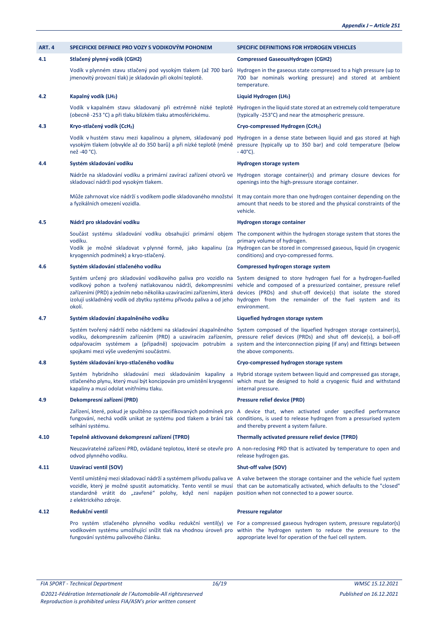| <b>ART. 4</b> | SPECIFICKE DEFINICE PRO VOZY S VODIKOVÝM POHONEM                                                                                  | <b>SPECIFIC DEFINITIONS FOR HYDROGEN VEHICLES</b>                                                                                                                                                                                                                                                                                                                                                                                                                                                                                                |
|---------------|-----------------------------------------------------------------------------------------------------------------------------------|--------------------------------------------------------------------------------------------------------------------------------------------------------------------------------------------------------------------------------------------------------------------------------------------------------------------------------------------------------------------------------------------------------------------------------------------------------------------------------------------------------------------------------------------------|
| 4.1           | Stlačený plynný vodík (CGH2)                                                                                                      | <b>Compressed GaseousHydrogen (CGH2)</b>                                                                                                                                                                                                                                                                                                                                                                                                                                                                                                         |
|               | jmenovitý provozní tlak) je skladován při okolní teplotě.                                                                         | Vodík v plynném stavu stlačený pod vysokým tlakem (až 700 barů Hydrogen in the gaseous state compressed to a high pressure (up to<br>700 bar nominals working pressure) and stored at ambient<br>temperature.                                                                                                                                                                                                                                                                                                                                    |
| 4.2           | Kapalný vodík (LH2)                                                                                                               | Liquid Hydrogen (LH <sub>2</sub> )                                                                                                                                                                                                                                                                                                                                                                                                                                                                                                               |
|               | (obecně -253 °C) a při tlaku blízkém tlaku atmosférickému.                                                                        | Vodík v kapalném stavu skladovaný při extrémně nízké teplotě Hydrogen in the liquid state stored at an extremely cold temperature<br>(typically -253°C) and near the atmospheric pressure.                                                                                                                                                                                                                                                                                                                                                       |
| 4.3           | Kryo-stlačený vodík (CcH2)                                                                                                        | Cryo-compressed Hydrogen (CcH <sub>2</sub> )                                                                                                                                                                                                                                                                                                                                                                                                                                                                                                     |
|               | vysokým tlakem (obvykle až do 350 barů) a při nízké teplotě (méně<br>než -40 °C).                                                 | Vodík v hustém stavu mezi kapalinou a plynem, skladovaný pod Hydrogen in a dense state between liquid and gas stored at high<br>pressure (typically up to 350 bar) and cold temperature (below<br>$-40^{\circ}$ C).                                                                                                                                                                                                                                                                                                                              |
| 4.4           | Systém skladování vodíku                                                                                                          | Hydrogen storage system                                                                                                                                                                                                                                                                                                                                                                                                                                                                                                                          |
|               | skladovací nádrži pod vysokým tlakem.                                                                                             | Nádrže na skladování vodíku a primární zavírací zařízení otvorů ve Hydrogen storage container(s) and primary closure devices for<br>openings into the high-pressure storage container.                                                                                                                                                                                                                                                                                                                                                           |
|               | a fyzikálních omezení vozidla.                                                                                                    | Může zahrnovat více nádrží s vodíkem podle skladovaného množství It may contain more than one hydrogen container depending on the<br>amount that needs to be stored and the physical constraints of the<br>vehicle.                                                                                                                                                                                                                                                                                                                              |
| 4.5           | Nádrž pro skladování vodíku                                                                                                       | Hydrogen storage container                                                                                                                                                                                                                                                                                                                                                                                                                                                                                                                       |
|               | vodíku.<br>kryogenních podmínek) a kryo-stlačený.                                                                                 | Součást systému skladování vodíku obsahující primární objem The component within the hydrogen storage system that stores the<br>primary volume of hydrogen.<br>Vodík je možné skladovat v plynné formě, jako kapalinu (za Hydrogen can be stored in compressed gaseous, liquid (in cryogenic<br>conditions) and cryo-compressed forms.                                                                                                                                                                                                           |
| 4.6           | Systém skladování stlačeného vodíku                                                                                               | Compressed hydrogen storage system                                                                                                                                                                                                                                                                                                                                                                                                                                                                                                               |
|               | okolí.                                                                                                                            | Systém určený pro skladování vodíkového paliva pro vozidlo na System designed to store hydrogen fuel for a hydrogen-fuelled<br>vodíkový pohon a tvořený natlakovanou nádrží, dekompresními vehicle and composed of a pressurized container, pressure relief<br>zařízeními (PRD) a jedním nebo několika uzavíracími zařízeními, která devices (PRDs) and shut-off device(s) that isolate the stored<br>izolují uskladněný vodík od zbytku systému přívodu paliva a od jeho hydrogen from the remainder of the fuel system and its<br>environment. |
| 4.7           | Systém skladování zkapalněného vodíku                                                                                             | Liquefied hydrogen storage system                                                                                                                                                                                                                                                                                                                                                                                                                                                                                                                |
|               | vodíku, dekompresním zařízením (PRD) a uzavíracím zařízením,<br>spojkami mezi výše uvedenými součástmi.                           | Systém tvořený nádrží nebo nádržemi na skladování zkapalněného System composed of the liquefied hydrogen storage container(s),<br>pressure relief devices (PRDs) and shut off device(s), a boil-off<br>odpařovacím systémem a (případně) spojovacím potrubím a system and the interconnection piping (if any) and fittings between<br>the above components.                                                                                                                                                                                      |
| 4.8           | Systém skladování kryo-stlačeného vodíku                                                                                          | Cryo-compressed hydrogen storage system                                                                                                                                                                                                                                                                                                                                                                                                                                                                                                          |
|               | kapaliny a musí odolat vnitřnímu tlaku.                                                                                           | Systém hybridního skladování mezi skladováním kapaliny a Hybrid storage system between liquid and compressed gas storage,<br>stlačeného plynu, který musí být koncipován pro umístění kryogenní which must be designed to hold a cryogenic fluid and withstand<br>internal pressure.                                                                                                                                                                                                                                                             |
| 4.9           | Dekompresní zařízení (PRD)                                                                                                        | <b>Pressure relief device (PRD)</b>                                                                                                                                                                                                                                                                                                                                                                                                                                                                                                              |
|               | selhání systému.                                                                                                                  | Zařízení, které, pokud je spuštěno za specifikovaných podmínek pro A device that, when activated under specified performance<br>fungování, nechá vodík unikat ze systému pod tlakem a brání tak conditions, is used to release hydrogen from a pressurised system<br>and thereby prevent a system failure.                                                                                                                                                                                                                                       |
| 4.10          | Tepelně aktivované dekompresní zařízení (TPRD)                                                                                    | Thermally activated pressure relief device (TPRD)                                                                                                                                                                                                                                                                                                                                                                                                                                                                                                |
|               | odvod plynného vodíku.                                                                                                            | Neuzavíratelné zařízení PRD, ovládané teplotou, které se otevře pro A non-reclosing PRD that is activated by temperature to open and<br>release hydrogen gas.                                                                                                                                                                                                                                                                                                                                                                                    |
| 4.11          | Uzavírací ventil (SOV)                                                                                                            | <b>Shut-off valve (SOV)</b>                                                                                                                                                                                                                                                                                                                                                                                                                                                                                                                      |
|               | standardně vrátit do "zavřené" polohy, když není napájen position when not connected to a power source.<br>z elektrického zdroje. | Ventil umístěný mezi skladovací nádrží a systémem přívodu paliva ve A valve between the storage container and the vehicle fuel system<br>vozidle, který je možné spustit automaticky. Tento ventil se musí that can be automatically activated, which defaults to the "closed"                                                                                                                                                                                                                                                                   |
| 4.12          | Redukční ventil                                                                                                                   | <b>Pressure regulator</b>                                                                                                                                                                                                                                                                                                                                                                                                                                                                                                                        |
|               | fungování systému palivového článku.                                                                                              | Pro systém stlačeného plynného vodíku redukční ventil(y) ve For a compressed gaseous hydrogen system, pressure regulator(s)<br>vodíkovém systému umožňující snížit tlak na vhodnou úroveň pro within the hydrogen system to reduce the pressure to the<br>appropriate level for operation of the fuel cell system.                                                                                                                                                                                                                               |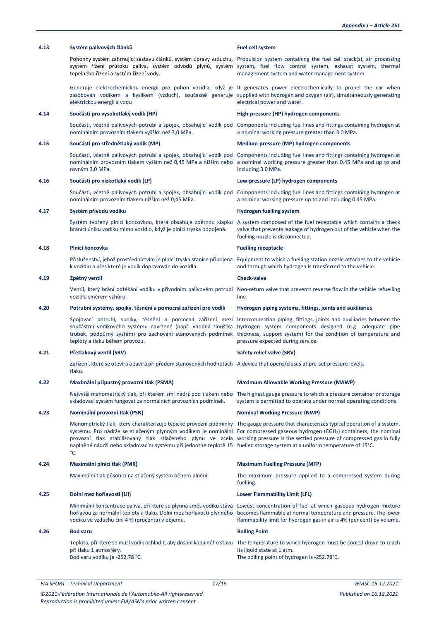# **4.13 Systém palivových článků Fuel cell system** Pohonný systém zahrnující sestavu článků, systém úpravy vzduchu, Propulsion system containing the fuel cell stack(s), air processing systém řízení průtoku paliva, systém odvodů plynů, systém tepelného řízení a systém řízení vody. Generuje elektrochemickou energii pro pohon vozidla, když je It generates power electrochemically to propel the car when zásobován vodíkem a kyslíkem (vzduch), současně generuje elektrickou energii a vodu system, fuel flow control system, exhaust system, thermal management system and water management system. supplied with hydrogen and oxygen (air), simultaneously generating electrical power and water. **4.14 Součásti pro vysokotlaký vodík (HP) High‐pressure (HP) hydrogen components**  Součásti, včetně palivových potrubí a spojek, obsahující vodík pod Components including fuel lines and fittings containing hydrogen at nominálním provozním tlakem vyšším než 3,0 MPa. a nominal working pressure greater than 3.0 MPa. **4.15 Součásti pro střednětlaký vodík (MP) Medium‐pressure (MP) hydrogen components**  Součásti, včetně palivových potrubí a spojek, obsahující vodík pod Components including fuel lines and fittings containing hydrogen at nominálním provozním tlakem vyšším než 0,45 MPa a nižším nebo a nominal working pressure greater than 0.45 MPa and up to and rovným 3,0 MPa. including 3.0 MPa. **4.16 Součásti pro nízkotlaký vodík (LP) Low‐pressure (LP) hydrogen components**  Součásti, včetně palivových potrubí a spojek, obsahující vodík pod Components including fuel lines and fittings containing hydrogen at nominálním provozním tlakem nižším než 0,45 MPa. a nominal working pressure up to and including 0.45 MPa. **4.17 Systém přívodu vodíku Hydrogen fuelling system**  Systém tvořený plnicí koncovkou, která obsahuje zpětnou klapku A system composed of the fuel receptable which contains a check bránící úniku vodíku mimo vozidlo, když je plnicí tryska odpojená. valve that prevents leakage of hydrogen out of the vehicle when the fuelling nozzle is disconnected. **4.18 Plnicí koncovka Fuelling receptacle**  Příslušenství, jehož prostřednictvím je plnicí tryska stanice připojena Equipment to which a fuelling station nozzle attaches to the vehicle k vozidlu a přes které je vodík dopravován do vozidla. and through which hydrogen is transferred to the vehicle. **4.19 Zpětný ventil Check‐valve** Ventil, který brání odtékání vodíku v přívodním palivovém potrubí Non-return valve that prevents reverse flow in the vehicle refuelling vozidla směrem vzhůru. line. **4.20 Potrubní systémy, spojky, těsnění a pomocná zařízení pro vodík Hydrogen piping systems, fittings, joints and auxiliaries**  Spojovací potrubí, spojky, těsnění a pomocná zařízení mezi součástmi vodíkového systému navržené (např. vhodná tloušťka trubek, podpůrný systém) pro zachování stanovených podmínek thickness, support system) for the condition of temperature and teploty a tlaku během provozu. Interconnection piping, fittings, joints and auxiliaries between the hydrogen system components designed (e.g. adequate pipe pressure expected during service. **4.21 Přetlakový ventil (SRV) Safety relief valve (SRV)** Zařízení, které se otevírá a zavírá při předem stanovených hodnotách A device that opens/closes at pre‐set pressure levels. tlaku. **4.22 Maximální přípustný provozní tlak (PSMA) Maximum Allowable Working Pressure (MAWP)**  Nejvyšší manometrický tlak, při kterém smí nádrž pod tlakem nebo The highest gauge pressure to which a pressure container or storage skladovací systém fungovat za normálních provozních podmínek. system is permitted to operate under normal operating conditions. **4.23 Nominální provozní tlak (PSN) Nominal Working Pressure (NWP)**  Manometrický tlak, který charakterizuje typické provozní podmínky The gauge pressure that characterizes typical operation of a system. systému. Pro nádrže se stlačeným plynným vodíkem je nominální For compressed gaseous hydrogen (CGH2) containers, the nominal provozní tlak stabilizovaný tlak stlačeného plynu ve zcela naplněné nádrži nebo skladovacím systému při jednotné teplotě 15 fuelled storage system at a uniform temperature of 15°C. °C. working pressure is the settled pressure of compressed gas in fully **4.24 Maximální plnicí tlak (PMR) Maximum Fuelling Pressure (MFP)**  Maximální tlak působící na stlačený systém během plnění. The maximum pressure applied to a compressed system during fuelling. **4.25 Dolní mez hořlavosti (LII) Lower Flammability Limit (LFL)**  Minimální koncentrace paliva, při které se plynná směs vodíku stává Lowest concentration of fuel at which gaseous hydrogen mixture hořlavou za normální teploty a tlaku. Dolní mez hořlavosti plynného vodíku ve vzduchu činí 4 % (procenta) v objemu. becomes flammable at normal temperature and pressure. The lower flammability limit for hydrogen gas in air is 4% (per cent) by volume. **4.26 Bod varu Books and** *Bottle Books and Boiling Point* **<b>Boiling Point**

Teplota, při které se musí vodík ochladit, aby dosáhl kapalného stavu The temperature to which hydrogen must be cooled down to reach při tlaku 1 atmosféry. Bod varu vodíku je ‐252,78 °C. its liquid state at 1 atm. The boiling point of hydrogen is ‐252.78°C.

*©2021‐Fédération Internationale de l'Automobile‐All rightsreserved Reproduction is prohibited unless FIA/ASN's prior written consent*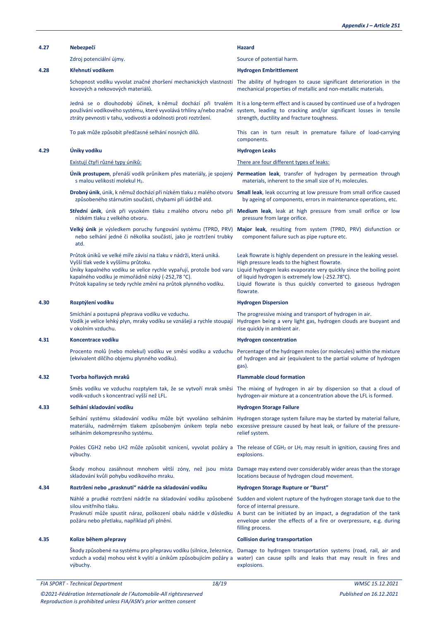| 4.27 | Nebezpečí                                                                                                                                                                                                                                                                                             | Hazard                                                                                                                                                                                                                                                                                                                                                                                        |
|------|-------------------------------------------------------------------------------------------------------------------------------------------------------------------------------------------------------------------------------------------------------------------------------------------------------|-----------------------------------------------------------------------------------------------------------------------------------------------------------------------------------------------------------------------------------------------------------------------------------------------------------------------------------------------------------------------------------------------|
|      | Zdroj potenciální újmy.                                                                                                                                                                                                                                                                               | Source of potential harm.                                                                                                                                                                                                                                                                                                                                                                     |
| 4.28 | Křehnutí vodíkem                                                                                                                                                                                                                                                                                      | <b>Hydrogen Embrittlement</b>                                                                                                                                                                                                                                                                                                                                                                 |
|      | kovových a nekovových materiálů.                                                                                                                                                                                                                                                                      | Schopnost vodíku vyvolat značné zhoršení mechanických vlastností The ability of hydrogen to cause significant deterioration in the<br>mechanical properties of metallic and non-metallic materials.                                                                                                                                                                                           |
|      | ztráty pevnosti v tahu, vodivosti a odolnosti proti roztržení.                                                                                                                                                                                                                                        | Jedná se o dlouhodobý účinek, k němuž dochází při trvalém It is a long-term effect and is caused by continued use of a hydrogen<br>používání vodíkového systému, které vyvolává trhliny a/nebo značné system, leading to cracking and/or significant losses in tensile<br>strength, ductility and fracture toughness.                                                                         |
|      | To pak může způsobit předčasné selhání nosných dílů.                                                                                                                                                                                                                                                  | This can in turn result in premature failure of load-carrying<br>components.                                                                                                                                                                                                                                                                                                                  |
| 4.29 | Úniky vodíku                                                                                                                                                                                                                                                                                          | <b>Hydrogen Leaks</b>                                                                                                                                                                                                                                                                                                                                                                         |
|      | <u>Existují čtyři různé typy úniků:</u>                                                                                                                                                                                                                                                               | There are four different types of leaks:                                                                                                                                                                                                                                                                                                                                                      |
|      | s malou velikostí molekul H2.                                                                                                                                                                                                                                                                         | Unik prostupem, přenáší vodík průnikem přes materiály, je spojený Permeation leak, transfer of hydrogen by permeation through<br>materials, inherent to the small size of H <sub>2</sub> molecules.                                                                                                                                                                                           |
|      | způsobeného stárnutím součástí, chybami při údržbě atd.                                                                                                                                                                                                                                               | Drobný únik, únik, k němuž dochází při nízkém tlaku z malého otvoru Small leak, leak occurring at low pressure from small orifice caused<br>by ageing of components, errors in maintenance operations, etc.                                                                                                                                                                                   |
|      | nízkém tlaku z velkého otvoru.                                                                                                                                                                                                                                                                        | Střední únik, únik při vysokém tlaku zmalého otvoru nebo při Medium leak, leak at high pressure from small orifice or low<br>pressure from large orifice.                                                                                                                                                                                                                                     |
|      | nebo selhání jedné či několika součástí, jako je roztržení trubky<br>atd.                                                                                                                                                                                                                             | Velký únik je výsledkem poruchy fungování systému (TPRD, PRV) Major leak, resulting from system (TPRD, PRV) disfunction or<br>component failure such as pipe rupture etc.                                                                                                                                                                                                                     |
|      | Průtok úniků ve velké míře závisí na tlaku v nádrži, která uniká.<br>Vyšší tlak vede k vyššímu průtoku.<br>Úniky kapalného vodíku se velice rychle vypařují, protože bod varu<br>kapalného vodíku je mimořádně nízký (-252,78 °C).<br>Průtok kapaliny se tedy rychle změní na průtok plynného vodíku. | Leak flowrate is highly dependent on pressure in the leaking vessel.<br>High pressure leads to the highest flowrate.<br>Liquid hydrogen leaks evaporate very quickly since the boiling point<br>of liquid hydrogen is extremely low (-252.78°C).<br>Liquid flowrate is thus quickly converted to gaseous hydrogen<br>flowrate.                                                                |
|      |                                                                                                                                                                                                                                                                                                       |                                                                                                                                                                                                                                                                                                                                                                                               |
| 4.30 | Rozptýlení vodíku                                                                                                                                                                                                                                                                                     | <b>Hydrogen Dispersion</b>                                                                                                                                                                                                                                                                                                                                                                    |
|      | Smíchání a postupná přeprava vodíku ve vzduchu.<br>Vodík je velice lehký plyn, mraky vodíku se vznášejí a rychle stoupají<br>v okolním vzduchu.                                                                                                                                                       | The progressive mixing and transport of hydrogen in air.<br>Hydrogen being a very light gas, hydrogen clouds are buoyant and<br>rise quickly in ambient air.                                                                                                                                                                                                                                  |
| 4.31 | Koncentrace vodíku                                                                                                                                                                                                                                                                                    | <b>Hydrogen concentration</b>                                                                                                                                                                                                                                                                                                                                                                 |
|      | (ekvivalent dílčího objemu plynného vodíku).                                                                                                                                                                                                                                                          | Procento molů (nebo molekul) vodíku ve směsi vodíku a vzduchu Percentage of the hydrogen moles (or molecules) within the mixture<br>of hydrogen and air (equivalent to the partial volume of hydrogen<br>gas).                                                                                                                                                                                |
| 4.32 | Tvorba hořlavých mraků                                                                                                                                                                                                                                                                                | <b>Flammable cloud formation</b>                                                                                                                                                                                                                                                                                                                                                              |
|      | vodík-vzduch s koncentrací vyšší než LFL.                                                                                                                                                                                                                                                             | Směs vodíku ve vzduchu rozptylem tak, že se vytvoří mrak směsi The mixing of hydrogen in air by dispersion so that a cloud of<br>hydrogen-air mixture at a concentration above the LFL is formed.                                                                                                                                                                                             |
| 4.33 | Selhání skladování vodíku                                                                                                                                                                                                                                                                             | <b>Hydrogen Storage Failure</b>                                                                                                                                                                                                                                                                                                                                                               |
|      | selháním dekompresního systému.                                                                                                                                                                                                                                                                       | Selhání systému skladování vodíku může být vyvoláno selháním Hydrogen storage system failure may be started by material failure,<br>materiálu, nadměrným tlakem způsobeným únikem tepla nebo excessive pressure caused by heat leak, or failure of the pressure-<br>relief system.                                                                                                            |
|      | výbuchy.                                                                                                                                                                                                                                                                                              | Pokles CGH2 nebo LH2 může způsobit vznícení, vyvolat požáry a The release of CGH2 or LH2 may result in ignition, causing fires and<br>explosions.                                                                                                                                                                                                                                             |
|      | skladování kvůli pohybu vodíkového mraku.                                                                                                                                                                                                                                                             | Skody mohou zasáhnout mnohem větší zóny, než jsou místa Damagemayextendoverconsiderablywiderareasthanthestorage<br>locations because of hydrogen cloud movement.                                                                                                                                                                                                                              |
| 4.34 | Roztržení nebo "prasknutí" nádrže na skladování vodíku                                                                                                                                                                                                                                                | <b>Hydrogen Storage Rupture or "Burst"</b>                                                                                                                                                                                                                                                                                                                                                    |
|      | silou vnitřního tlaku.<br>požáru nebo přetlaku, například při plnění.                                                                                                                                                                                                                                 | Náhlé a prudké roztržení nádrže na skladování vodíku způsobené Sudden and violent rupture of the hydrogen storage tank due to the<br>force of internal pressure.<br>Prasknutí může spustit náraz, poškození obalu nádrže v důsledku A burst can be initiated by an impact, a degradation of the tank<br>envelope under the effects of a fire or overpressure, e.g. during<br>filling process. |
| 4.35 | Kolize během přepravy                                                                                                                                                                                                                                                                                 | <b>Collision during transportation</b>                                                                                                                                                                                                                                                                                                                                                        |

 Škody způsobené na systému pro přepravu vodíku (silnice, železnice, vzduch a voda) mohou vést k vylití a únikům způsobujícím požáry a výbuchy.

*FIA SPORT ‐ Technical Department 18/19 WMSC 15.12.2021* 

explosions.

water) can cause spills and leaks that may result in fires and

*©2021‐Fédération Internationale de l'Automobile‐All rightsreserved Reproduction is prohibited unless FIA/ASN's prior written consent*